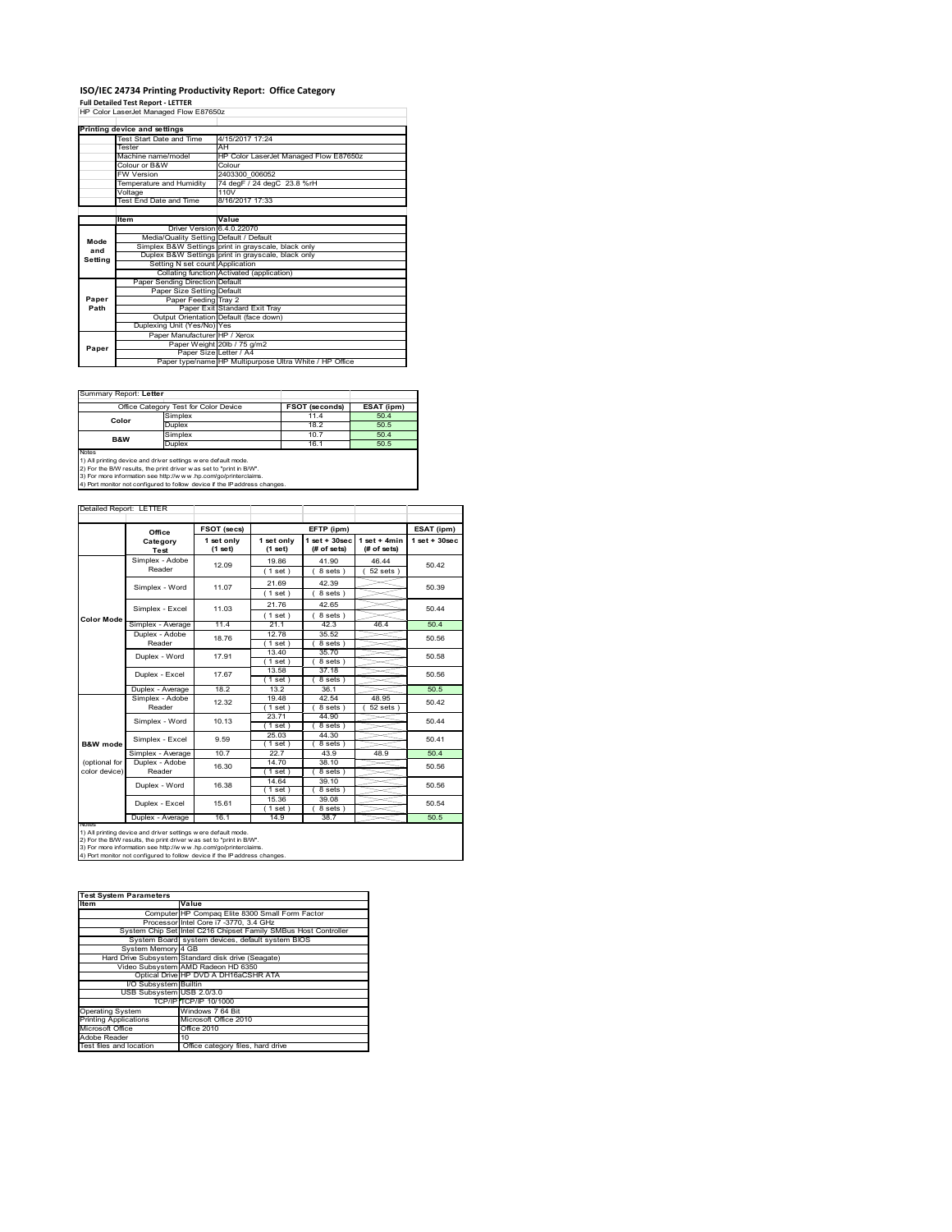# **ISO/IEC 24734 Printing Productivity Report: Office Category Full Detailed Test Report ‐ LETTER** HP Color LaserJet Managed Flow E87650z

|         | Printing device and settings            |                                                         |  |  |
|---------|-----------------------------------------|---------------------------------------------------------|--|--|
|         | Test Start Date and Time                | 4/15/2017 17:24                                         |  |  |
|         | Tester                                  | AH                                                      |  |  |
|         | Machine name/model                      | HP Color LaserJet Managed Flow E87650z                  |  |  |
|         | Colour or B&W                           | Colour                                                  |  |  |
|         | <b>FW Version</b>                       | 2403300 006052                                          |  |  |
|         | Temperature and Humidity                | 74 degF / 24 degC 23.8 %rH                              |  |  |
|         | Voltage                                 | 110V                                                    |  |  |
|         | Test End Date and Time                  | 8/16/2017 17:33                                         |  |  |
|         |                                         |                                                         |  |  |
|         | Item                                    | Value                                                   |  |  |
|         | Driver Version 6.4.0.22070              |                                                         |  |  |
| Mode    | Media/Quality Setting Default / Default |                                                         |  |  |
| and     |                                         | Simplex B&W Settings print in grayscale, black only     |  |  |
| Setting |                                         | Duplex B&W Settings print in grayscale, black only      |  |  |
|         | Setting N set count Application         |                                                         |  |  |
|         |                                         | Collating function Activated (application)              |  |  |
|         | Paper Sending Direction Default         |                                                         |  |  |
|         | Paper Size Setting Default              |                                                         |  |  |
| Paper   | Paper Feeding Tray 2                    |                                                         |  |  |
| Path    |                                         | Paper Exit Standard Exit Tray                           |  |  |
|         |                                         | Output Orientation Default (face down)                  |  |  |
|         | Duplexing Unit (Yes/No) Yes             |                                                         |  |  |
|         | Paper Manufacturer HP / Xerox           |                                                         |  |  |
| Paper   |                                         | Paper Weight 20lb / 75 g/m2                             |  |  |
|         | Paper Size Letter / A4                  |                                                         |  |  |
|         |                                         | Paper type/name HP Multipurpose Ultra White / HP Office |  |  |

h

### Summary Report: **Letter**

|                | Office Category Test for Color Device | FSOT (seconds) | ESAT (ipm) |
|----------------|---------------------------------------|----------------|------------|
| Color          | Simplex                               | 11.4           | 50.4       |
|                | Duplex                                | 18.2           | 50.5       |
| <b>B&amp;W</b> | Simplex                               | 10.7           | 50.4       |
|                | Duplex                                | 16.1           | 50.5       |
| Notes          |                                       |                |            |

Notes<br>1) All printing device and driver settings were default mode.<br>2) For the B/W results, the print driver was set to "print in B/W".<br>3) For more information see http://www.vhp.com/go/printerclaims.<br>4) Por more informati

|                                | Office                   | FSOT (secs)           |                       | EFTP (ipm)                        |                               | ESAT (ipm)         |
|--------------------------------|--------------------------|-----------------------|-----------------------|-----------------------------------|-------------------------------|--------------------|
|                                | Category<br><b>Test</b>  | 1 set only<br>(1 set) | 1 set only<br>(1 set) | $1$ set + $30$ sec<br>(# of sets) | $1$ set + 4min<br>(# of sets) | $1$ set + $30$ sec |
|                                | Simplex - Adobe          | 12.09                 | 19.86                 | 41.90                             | 46.44                         | 50.42              |
|                                | Reader                   |                       | $1$ set)              | 8 sets)                           | $52$ sets $)$                 |                    |
|                                | Simplex - Word           | 11.07                 | 21.69                 | 42.39                             |                               | 50.39              |
|                                |                          |                       | (1 set)               | 8 sets)                           |                               |                    |
|                                |                          | 11.03                 | 21.76                 | 42.65                             |                               | 50.44              |
| Color Mode                     | Simplex - Excel          |                       | (1 set)               | 8 sets)                           |                               |                    |
|                                | Simplex - Average        | 11.4                  | 21.1                  | 42.3                              | 46.4                          | 50.4               |
|                                | Duplex - Adobe<br>18.76  | 12.78                 | 35.52                 |                                   | 50.56                         |                    |
|                                | Reader                   |                       | $1$ set $)$           | 8 sets)                           |                               |                    |
|                                | Duplex - Word            | 17.91                 | 13.40                 | 35.70                             |                               | 50.58              |
|                                |                          |                       | $1$ set)              | $8 sets$ )                        |                               |                    |
|                                | Duplex - Excel           | 17.67                 | 13.58                 | 37.18                             |                               | 50.56              |
|                                |                          |                       | $1$ set)              | 8 sets                            |                               |                    |
|                                | Duplex - Average         | 18.2                  | 13.2                  | 36.1                              |                               | 50.5               |
|                                | Simplex - Adobe          | 12.32                 | 19.48                 | 42.54                             | 48.95                         | 50.42              |
|                                | Reader                   |                       | $1$ set)              | 8 sets )                          | $52$ sets                     |                    |
|                                | Simplex - Word           | 10.13                 | 23.71                 | 44.90                             |                               | 50.44              |
|                                |                          |                       | $1$ set)              | 8 sets                            |                               |                    |
|                                | Simplex - Excel          | 9.59                  | 25.03                 | 44.30                             |                               | 50.41              |
| <b>B&amp;W</b> mode            |                          |                       | $1$ set)              | 8 sets)                           |                               |                    |
|                                | Simplex - Average        | 10.7                  | 22.7                  | 43.9                              | 48.9                          | 50.4               |
| (optional for<br>color device) | Duplex - Adobe<br>Reader | 16.30                 | 14.70                 | 38.10                             |                               | 50.56              |
|                                |                          |                       | $1$ set)<br>14.64     | 8 sets)<br>39.10                  |                               |                    |
|                                | Duplex - Word            | 16.38                 | $1$ set)              | 8 sets)                           |                               | 50.56              |
|                                |                          |                       | 15.36                 | 39.08                             |                               |                    |
|                                | Duplex - Excel           | 15.61                 | $1$ set)              | 8 sets 1                          |                               | 50.54              |
|                                | Duplex - Average         | 16.1                  | 14.9                  | 38.7                              |                               | 50.5               |
| <b>NOtes</b>                   |                          |                       |                       |                                   |                               |                    |

| <b>Test System Parameters</b>                                   |  |  |  |  |
|-----------------------------------------------------------------|--|--|--|--|
| Value                                                           |  |  |  |  |
| Computer HP Compag Elite 8300 Small Form Factor                 |  |  |  |  |
| Processor Intel Core i7 -3770, 3.4 GHz                          |  |  |  |  |
| System Chip Set Intel C216 Chipset Family SMBus Host Controller |  |  |  |  |
| System Board system devices, default system BIOS                |  |  |  |  |
| System Memory 4 GB                                              |  |  |  |  |
| Hard Drive Subsystem Standard disk drive (Seagate)              |  |  |  |  |
| Video Subsystem AMD Radeon HD 6350                              |  |  |  |  |
| Optical Drive HP DVD A DH16aCSHR ATA                            |  |  |  |  |
| I/O Subsystem Builtin                                           |  |  |  |  |
| USB Subsystem USB 2.0/3.0                                       |  |  |  |  |
| TCP/IPITCP/IP 10/1000                                           |  |  |  |  |
| Windows 7 64 Bit                                                |  |  |  |  |
| Microsoft Office 2010                                           |  |  |  |  |
| Office 2010                                                     |  |  |  |  |
| 10                                                              |  |  |  |  |
| Office category files, hard drive                               |  |  |  |  |
|                                                                 |  |  |  |  |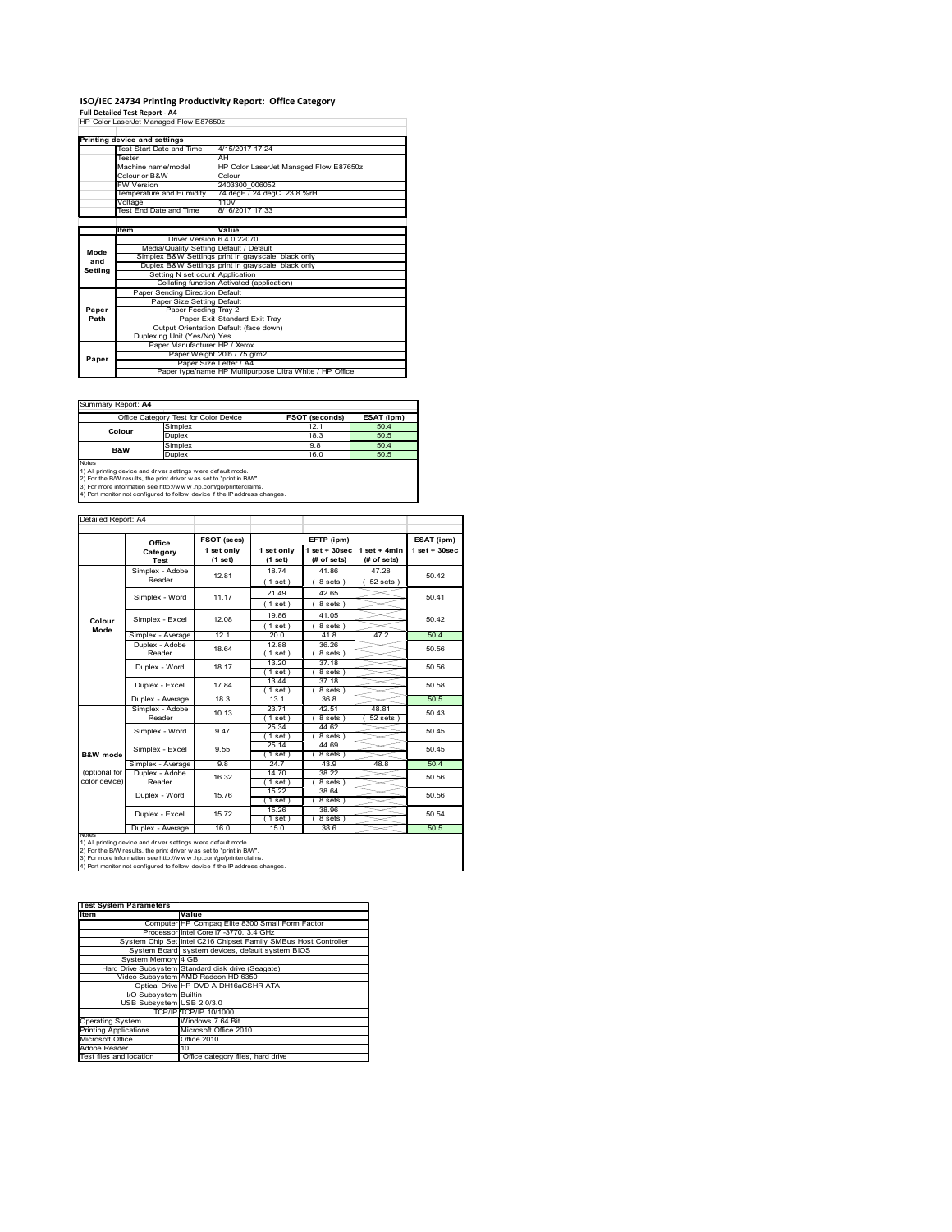# **ISO/IEC 24734 Printing Productivity Report: Office Category Full Detailed Test Report ‐ A4** HP Color LaserJet Managed Flow E87650z

|         | HP Color LaserJet Managed Flow E87650z  |                                                         |  |
|---------|-----------------------------------------|---------------------------------------------------------|--|
|         |                                         |                                                         |  |
|         | Printing device and settings            |                                                         |  |
|         | Test Start Date and Time                | 4/15/2017 17:24                                         |  |
|         | Tester                                  | AH                                                      |  |
|         | Machine name/model                      | HP Color LaserJet Managed Flow E87650z                  |  |
|         | Colour or B&W                           | Colour                                                  |  |
|         | <b>FW Version</b>                       | 2403300 006052                                          |  |
|         | Temperature and Humidity                | 74 degF / 24 degC 23.8 %rH                              |  |
|         | Voltage                                 | 110V                                                    |  |
|         | Test End Date and Time                  | 8/16/2017 17:33                                         |  |
|         |                                         |                                                         |  |
|         | Item                                    | Value                                                   |  |
|         | Driver Version 6.4.0.22070              |                                                         |  |
| Mode    | Media/Quality Setting Default / Default |                                                         |  |
| and     |                                         | Simplex B&W Settings print in grayscale, black only     |  |
|         |                                         | Duplex B&W Settings print in grayscale, black only      |  |
| Setting | Setting N set count Application         |                                                         |  |
|         |                                         | Collating function Activated (application)              |  |
|         | Paper Sending Direction Default         |                                                         |  |
|         | Paper Size Setting Default              |                                                         |  |
| Paper   | Paper Feeding Tray 2                    |                                                         |  |
| Path    |                                         | Paper Exit Standard Exit Tray                           |  |
|         |                                         | Output Orientation Default (face down)                  |  |
|         | Duplexing Unit (Yes/No) Yes             |                                                         |  |
|         | Paper Manufacturer HP / Xerox           |                                                         |  |
| Paper   |                                         | Paper Weight 20lb / 75 g/m2                             |  |
|         | Paper Size Letter / A4                  |                                                         |  |
|         |                                         | Paper type/name HP Multipurpose Ultra White / HP Office |  |

Summary Report: **A4**

|                                                                                                                                                                                                                                               | Office Category Test for Color Device | FSOT (seconds) | ESAT (ipm) |
|-----------------------------------------------------------------------------------------------------------------------------------------------------------------------------------------------------------------------------------------------|---------------------------------------|----------------|------------|
| Colour                                                                                                                                                                                                                                        | Simplex                               | 12.1           | 50.4       |
|                                                                                                                                                                                                                                               | Duplex                                | 18.3           | 50.5       |
| <b>B&amp;W</b>                                                                                                                                                                                                                                | Simplex                               | 9.8            | 50.4       |
|                                                                                                                                                                                                                                               | Duplex                                | 16.0           | 50.5       |
| Notes<br>$\blacksquare$ . The contract of the contract of the contract of the contract of the contract of the contract of the contract of the contract of the contract of the contract of the contract of the contract of the contract of the |                                       |                |            |

Notes<br>1) All printing device and driver settings were default mode.<br>2) For the B/W results, the print driver was set to "print in B/W".<br>3) For more information see http://www.hp.com/go/printerclaims.<br>4) Por more informatio

| Detailed Report: A4            |                                   |                       |                       |                                   |                               |                    |
|--------------------------------|-----------------------------------|-----------------------|-----------------------|-----------------------------------|-------------------------------|--------------------|
|                                | Office                            | FSOT (secs)           |                       | EFTP (ipm)                        |                               | ESAT (ipm)         |
|                                | Category<br>Test                  | 1 set only<br>(1 set) | 1 set only<br>(1 set) | $1$ set + $30$ sec<br>(# of sets) | $1$ set + 4min<br>(# of sets) | $1$ set + $30$ sec |
|                                | Simplex - Adobe<br>Reader         | 12.81                 | 18.74<br>(1 set)      | 41.86<br>8 sets)                  | 47.28<br>$52$ sets $ $        | 50.42              |
|                                | Simplex - Word                    | 11.17                 | 21.49                 | 42.65<br>8 sets)                  |                               | 50.41              |
| Colour                         | Simplex - Excel                   | 12.08                 | $1$ set)<br>19.86     | 41.05                             |                               | 50.42              |
| Mode                           | Simplex - Average                 | 12.1                  | (1 set)<br>20.0       | 8 sets)<br>41.8                   | 47.2                          | 50.4               |
|                                | Duplex - Adobe<br>18.64<br>Reader | 12.88<br>$1$ set $)$  | 36.26<br>8 sets)      |                                   | 50.56                         |                    |
|                                | Duplex - Word                     | 18.17                 | 13.20<br>$1$ set)     | 37.18<br>8 sets)                  |                               | 50.56              |
|                                | Duplex - Excel                    | 17.84                 | 1344<br>$1$ set       | 37.18<br>8 sets                   |                               | 50.58              |
|                                | Duplex - Average                  | 18.3                  | 13.1                  | 36.8                              |                               | 50.5               |
|                                | Simplex - Adobe<br>Reader         | 10.13                 | 23.71<br>$1$ set)     | 42.51<br>8 sets 1                 | 48.81<br>52 sets              | 50.43              |
|                                | Simplex - Word                    | 9.47                  | 25.34<br>$1$ set)     | 44.62<br>8 sets)                  |                               | 50.45              |
| B&W mode                       | Simplex - Excel                   | 9.55                  | 25.14<br>$1$ set $)$  | 44.69<br>8 sets)                  |                               | 50.45              |
|                                | Simplex - Average                 | 9.8                   | 24.7                  | 43.9                              | 48.8                          | 50.4               |
| (optional for<br>color device) | Duplex - Adobe<br>Reader          | 16.32                 | 14.70<br>$1$ set)     | 38.22<br>8 sets)                  |                               | 50.56              |
|                                | Duplex - Word                     | 15.76                 | 15.22<br>$1$ set)     | 38.64<br>8 sets)                  |                               | 50.56              |
|                                | Duplex - Excel                    | 15.72                 | 15.26<br>$1$ set)     | 38.96<br>8 sets)                  |                               | 50.54              |
| <b>INOTES</b>                  | Duplex - Average                  | 16.0                  | 15.0                  | 38.6                              |                               | 50.5               |

notes<br>1) All printing device and driver settings w ere default mode.<br>2) For the B/W results, the print driver was set to "print in B/W".<br>3) For more information see http://www.vhp.com/go/printerclaims.<br>4) For more informat

| <b>Test System Parameters</b> |                                                                 |
|-------------------------------|-----------------------------------------------------------------|
| <b>Item</b>                   | Value                                                           |
|                               | Computer HP Compaq Elite 8300 Small Form Factor                 |
|                               | Processor Intel Core i7 -3770, 3.4 GHz                          |
|                               | System Chip Set Intel C216 Chipset Family SMBus Host Controller |
|                               | System Board system devices, default system BIOS                |
| System Memory 4 GB            |                                                                 |
|                               | Hard Drive Subsystem Standard disk drive (Seagate)              |
|                               | Video Subsystem AMD Radeon HD 6350                              |
|                               | Optical Drive HP DVD A DH16aCSHR ATA                            |
| I/O Subsystem Builtin         |                                                                 |
| USB Subsystem USB 2.0/3.0     |                                                                 |
|                               | TCP/IPITCP/IP 10/1000                                           |
| <b>Operating System</b>       | Windows 7 64 Bit                                                |
| <b>Printing Applications</b>  | Microsoft Office 2010                                           |
| Microsoft Office              | Office 2010                                                     |
| Adobe Reader                  | 10                                                              |
| Test files and location       | Office category files, hard drive                               |
|                               |                                                                 |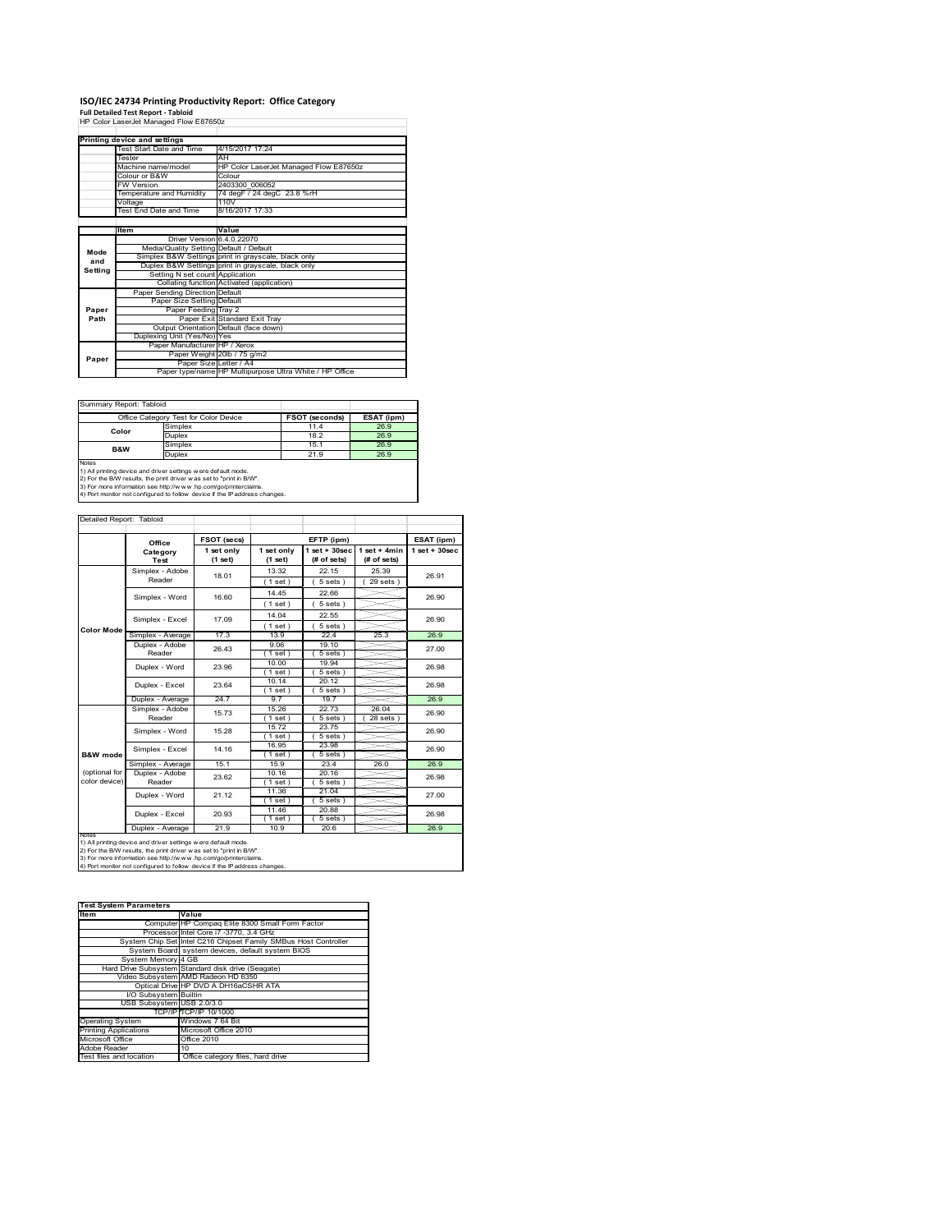# **ISO/IEC 24734 Printing Productivity Report: Office Category Full Detailed Test Report ‐ Tabloid** HP Color LaserJet Managed Flow E87650z

|         | HP Color LaserJet Managed Flow E87650z  |                                                         |  |
|---------|-----------------------------------------|---------------------------------------------------------|--|
|         |                                         |                                                         |  |
|         | Printing device and settings            |                                                         |  |
|         | Test Start Date and Time                | 4/15/2017 17:24                                         |  |
|         | <b>Tester</b>                           | AH                                                      |  |
|         | Machine name/model                      | HP Color LaserJet Managed Flow E87650z                  |  |
|         | Colour or B&W                           | Colour                                                  |  |
|         | <b>FW Version</b>                       | 2403300 006052                                          |  |
|         | Temperature and Humidity                | 74 degF / 24 degC 23.8 %rH                              |  |
|         | Voltage                                 | 110V                                                    |  |
|         | Test End Date and Time                  | 8/16/2017 17:33                                         |  |
|         |                                         |                                                         |  |
|         | <b>Item</b>                             | Value                                                   |  |
|         | Driver Version 6.4.0.22070              |                                                         |  |
| Mode    | Media/Quality Setting Default / Default |                                                         |  |
| and     |                                         | Simplex B&W Settings print in grayscale, black only     |  |
| Setting |                                         | Duplex B&W Settings print in grayscale, black only      |  |
|         | Setting N set count Application         |                                                         |  |
|         |                                         | Collating function Activated (application)              |  |
|         | Paper Sending Direction Default         |                                                         |  |
|         | Paper Size Setting Default              |                                                         |  |
| Paper   | Paper Feeding Tray 2                    |                                                         |  |
| Path    |                                         | Paper Exit Standard Exit Tray                           |  |
|         |                                         | Output Orientation Default (face down)                  |  |
|         | Duplexing Unit (Yes/No) Yes             |                                                         |  |
|         | Paper Manufacturer HP / Xerox           |                                                         |  |
| Paper   |                                         | Paper Weight 20lb / 75 g/m2                             |  |
|         | Paper Size Letter / A4                  |                                                         |  |
|         |                                         | Paper type/name HP Multipurpose Ultra White / HP Office |  |

Summary Report: Tabloid

| Office Category Test for Color Device                                      |                                                                | <b>FSOT (seconds)</b> | ESAT (ipm) |  |  |
|----------------------------------------------------------------------------|----------------------------------------------------------------|-----------------------|------------|--|--|
| Color                                                                      | Simplex                                                        | 11.4                  | 26.9       |  |  |
|                                                                            | Duplex                                                         | 18.2                  | 26.9       |  |  |
| <b>B&amp;W</b>                                                             | Simplex                                                        | 15.1                  | 26.9       |  |  |
|                                                                            | <b>Duplex</b>                                                  | 21.9                  | 26.9       |  |  |
| Notes                                                                      |                                                                |                       |            |  |  |
|                                                                            | 1) All printing device and driver settings w ere default mode. |                       |            |  |  |
| 2) For the B/W results, the print driver was set to "print in B/W".        |                                                                |                       |            |  |  |
| 3) For more information see http://www.hp.com/go/printerclaims.            |                                                                |                       |            |  |  |
| 4) Port monitor not configured to follow device if the IP address changes. |                                                                |                       |            |  |  |

| Detailed Report: Tabloid |                         |                       |                       |                                |                               |                    |
|--------------------------|-------------------------|-----------------------|-----------------------|--------------------------------|-------------------------------|--------------------|
|                          | Office                  | FSOT (secs)           |                       | EFTP (ipm)                     |                               | ESAT (ipm)         |
|                          | Category<br><b>Test</b> | 1 set only<br>(1 set) | 1 set only<br>(1 set) | $1$ set + 30sec<br>(# of sets) | $1$ set + 4min<br>(# of sets) | $1$ set + $30$ sec |
|                          | Simplex - Adobe         | 18.01                 | 13.32                 | 22.15                          | 25.39                         | 26.91              |
|                          | Reader                  |                       | (1 set)               | 5 sets)                        | $29$ sets $)$                 |                    |
|                          | Simplex - Word          | 16.60                 | 14.45                 | 22.66                          |                               | 26.90              |
|                          |                         |                       | $1$ set $)$           | $5 sets$ )                     |                               |                    |
|                          | Simplex - Excel         | 17.09                 | 14.04                 | 22.55                          |                               | 26.90              |
| <b>Color Mode</b>        |                         |                       | (1 set)               | 5 sets)                        |                               |                    |
|                          | Simplex - Average       | 17.3                  | 13.9                  | 22.4                           | 25.3                          | 26.9               |
|                          | Duplex - Adobe          | 26.43                 | 9.06                  | 19.10                          |                               | 27.00              |
|                          | Reader                  |                       | $1$ set)              | 5 sets)                        |                               |                    |
|                          | Duplex - Word           | 23.96                 | 10.00                 | 19.94                          |                               | 26.98              |
|                          |                         |                       | $1$ set)              | 5 sets)                        |                               |                    |
|                          | Duplex - Excel          | 23.64                 | 10.14                 | 20.12                          |                               | 26.98              |
|                          | Duplex - Average        | 24.7                  | $1$ set)<br>97        | $5 sets$ )<br>19.7             |                               | 26.9               |
|                          | Simplex - Adobe         |                       | 15.26                 | 22.73                          | 26.04                         |                    |
|                          | Reader                  | 15.73                 | $1$ set)              | $5 sets$ )                     | $28$ sets $)$                 | 26.90              |
|                          | Simplex - Word          | 15.28                 | 15.72                 | 23.75                          |                               | 26.90              |
|                          |                         |                       | $1$ set)              | $5 sets$ )                     |                               |                    |
|                          | Simplex - Excel         | 14.16                 | 16.95                 | 23.98                          |                               | 26.90              |
| B&W mode                 |                         |                       | $1$ set)              | 5 sets)                        |                               |                    |
|                          | Simplex - Average       | 15.1                  | 15.9                  | 23.4                           | 26.0                          | 26.9               |
| (optional for            | Duplex - Adobe          | 23.62                 | 10.16                 | 20.16                          |                               | 26.98              |
| color device)            | Reader                  |                       | $1$ set)              | $5 sets$ )                     |                               |                    |
|                          | Duplex - Word           | 21.12                 | 11.36<br>$1$ set)     | 21.04<br>$5 sets$ )            |                               | 27.00              |
|                          |                         |                       | 11.46                 | 20.88                          |                               | 26.98              |
|                          | Duplex - Excel          | 20.93                 | $1$ set $)$           | $5 sets$ )                     |                               |                    |
|                          | Duplex - Average        | 21.9                  | 10.9                  | 20.6                           |                               | 26.9               |
| <b>INOTES</b>            |                         |                       |                       |                                |                               |                    |

notes<br>1) All printing device and driver settings w ere default mode.<br>2) For the B/W results, the print driver was set to "print in B/W".<br>3) For more information see http://w w.w. r.p.com/go/printerclaims.<br>4) For more infor

| <b>Test System Parameters</b> |                                                                 |  |
|-------------------------------|-----------------------------------------------------------------|--|
| Item                          | Value                                                           |  |
|                               | Computer HP Compaq Elite 8300 Small Form Factor                 |  |
|                               | Processor Intel Core i7 -3770, 3.4 GHz                          |  |
|                               | System Chip Set Intel C216 Chipset Family SMBus Host Controller |  |
|                               | System Board system devices, default system BIOS                |  |
| System Memory 4 GB            |                                                                 |  |
|                               | Hard Drive Subsystem Standard disk drive (Seagate)              |  |
|                               | Video Subsystem AMD Radeon HD 6350                              |  |
|                               | Optical Drive HP DVD A DH16aCSHR ATA                            |  |
| I/O Subsystem Builtin         |                                                                 |  |
| USB Subsystem USB 2.0/3.0     |                                                                 |  |
|                               | TCP/IPITCP/IP 10/1000                                           |  |
| <b>Operating System</b>       | Windows 7 64 Bit                                                |  |
| <b>Printing Applications</b>  | Microsoft Office 2010                                           |  |
| Microsoft Office              | Office 2010                                                     |  |
| Adobe Reader                  | 10                                                              |  |
| Test files and location       | Office category files, hard drive                               |  |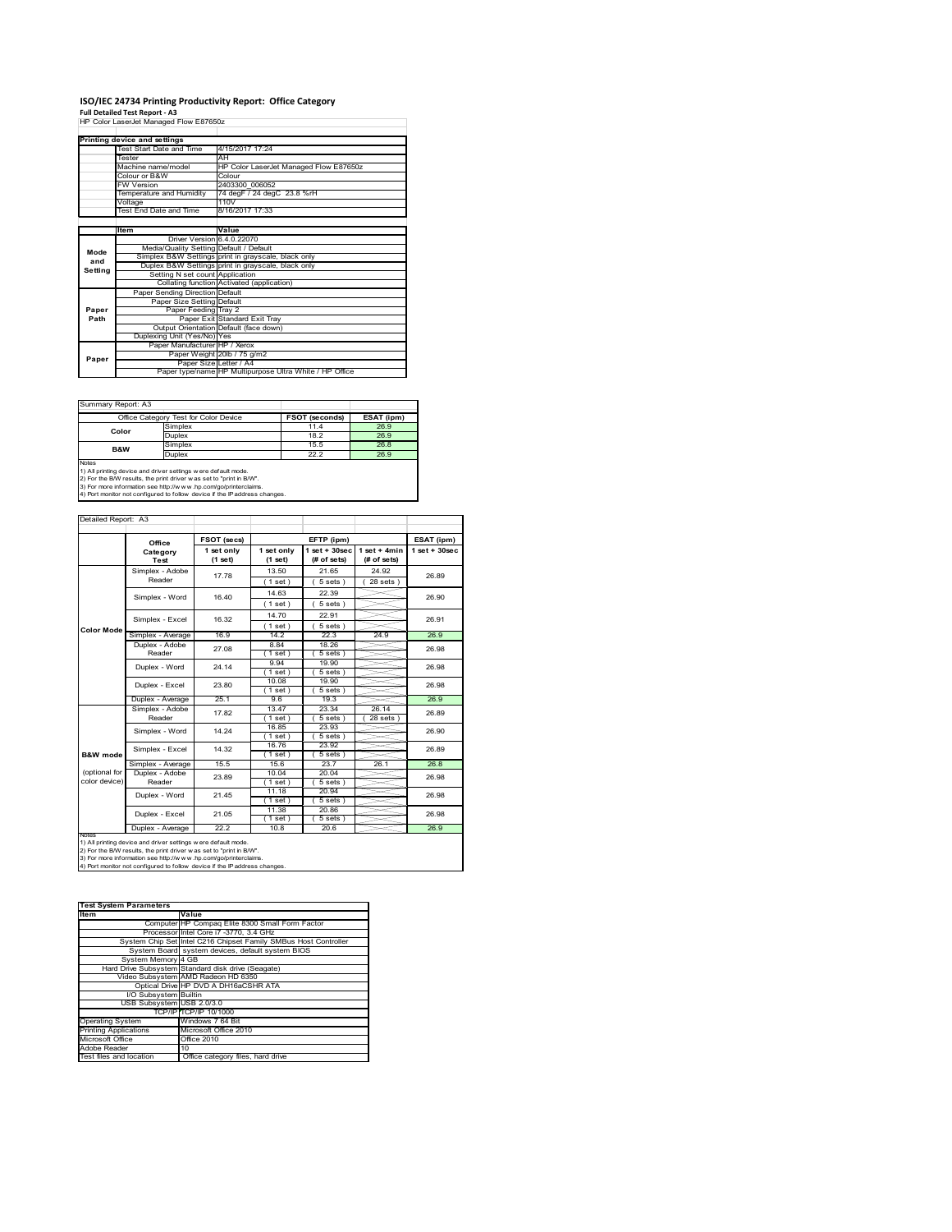# **ISO/IEC 24734 Printing Productivity Report: Office Category Full Detailed Test Report ‐ A3** HP Color LaserJet Managed Flow E87650z

| HP Color LaserJet Managed Flow E87650z |                                         |                                                         |  |  |  |
|----------------------------------------|-----------------------------------------|---------------------------------------------------------|--|--|--|
|                                        |                                         |                                                         |  |  |  |
|                                        | Printing device and settings            |                                                         |  |  |  |
|                                        | Test Start Date and Time                | 4/15/2017 17:24                                         |  |  |  |
|                                        | Tester                                  | AH                                                      |  |  |  |
|                                        | Machine name/model                      | HP Color LaserJet Managed Flow E87650z                  |  |  |  |
|                                        | Colour or B&W                           | Colour                                                  |  |  |  |
|                                        | <b>FW Version</b>                       | 2403300 006052                                          |  |  |  |
|                                        | Temperature and Humidity                | 74 degF / 24 degC 23.8 %rH                              |  |  |  |
|                                        | Voltage                                 | 110V                                                    |  |  |  |
|                                        | Test End Date and Time                  | 8/16/2017 17:33                                         |  |  |  |
|                                        |                                         |                                                         |  |  |  |
|                                        | Item                                    | Value                                                   |  |  |  |
|                                        | Driver Version 6.4.0.22070              |                                                         |  |  |  |
| Mode                                   | Media/Quality Setting Default / Default |                                                         |  |  |  |
| and                                    |                                         | Simplex B&W Settings print in grayscale, black only     |  |  |  |
| Setting                                |                                         | Duplex B&W Settings print in grayscale, black only      |  |  |  |
|                                        | Setting N set count Application         |                                                         |  |  |  |
|                                        |                                         | Collating function Activated (application)              |  |  |  |
|                                        | Paper Sending Direction Default         |                                                         |  |  |  |
|                                        | Paper Size Setting Default              |                                                         |  |  |  |
| Paper                                  | Paper Feeding Tray 2                    |                                                         |  |  |  |
| Path                                   |                                         | Paper Exit Standard Exit Tray                           |  |  |  |
|                                        |                                         | Output Orientation Default (face down)                  |  |  |  |
|                                        | Duplexing Unit (Yes/No) Yes             |                                                         |  |  |  |
|                                        | Paper Manufacturer HP / Xerox           |                                                         |  |  |  |
| Paper                                  |                                         | Paper Weight 20lb / 75 g/m2                             |  |  |  |
|                                        | Paper Size Letter / A4                  |                                                         |  |  |  |
|                                        |                                         | Paper type/name HP Multipurpose Ultra White / HP Office |  |  |  |

Summary Report: A3

|                | Office Category Test for Color Device                        | <b>FSOT (seconds)</b> | ESAT (ipm) |
|----------------|--------------------------------------------------------------|-----------------------|------------|
| Color          | Simplex                                                      | 11.4                  | 26.9       |
|                | Duplex                                                       | 18.2                  | 26.9       |
| <b>B&amp;W</b> | Simplex                                                      | 15.5                  | 26.8       |
|                | Duplex                                                       | 22.2                  | 26.9       |
| Notes          |                                                              |                       |            |
|                | 1) All printing device and driver settings were default mode |                       |            |

1) All printing device and driver settings were default mode.<br>2) For the B/W results, the print driver was set to "print in B/W".<br>3) For more information see http://www.hp.com/go/printerclaims.<br>4) Port monitor not configur

| Detailed Report: A3 |                                     |                       |                         |                                   |                               |                    |  |
|---------------------|-------------------------------------|-----------------------|-------------------------|-----------------------------------|-------------------------------|--------------------|--|
|                     | Office                              | FSOT (secs)           |                         | EFTP (ipm)                        |                               | ESAT (ipm)         |  |
|                     | Category<br>Test                    | 1 set only<br>(1 set) | 1 set only<br>$(1$ set) | $1$ set + $30$ sec<br>(# of sets) | $1$ set + 4min<br>(# of sets) | $1$ set + $30$ sec |  |
|                     | Simplex - Adobe<br>Reader           | 17.78                 | 13.50                   | 21.65                             | 24.92                         | 26.89              |  |
|                     |                                     |                       | (1 set)                 | $5 sets$ )                        | $28$ sets $)$                 |                    |  |
|                     | Simplex - Word                      | 16.40                 | 14.63                   | 22.39                             |                               | 26.90              |  |
|                     |                                     |                       | $1$ set)                | 5 sets)                           |                               |                    |  |
|                     | Simplex - Excel                     | 16.32                 | 14.70                   | 22.91                             |                               | 26.91              |  |
| <b>Color Mode</b>   |                                     |                       | (1 set)                 | 5 sets)                           |                               |                    |  |
|                     | Simplex - Average                   | 16.9                  | 14.2                    | 22.3                              | 24.9                          | 26.9               |  |
|                     | Duplex - Adobe                      | 27.08                 | 8.84                    | 18.26                             |                               | 26.98              |  |
|                     | Reader                              |                       | $1$ set)                | 5 sets)                           |                               |                    |  |
|                     | Duplex - Word                       | 24.14                 | 9.94                    | 19.90                             |                               | 26.98              |  |
|                     |                                     |                       | $1$ set)                | $5 sets$ )                        |                               |                    |  |
|                     | Duplex - Excel                      | 23.80                 | 10.08                   | 19.90                             |                               | 26.98              |  |
|                     |                                     |                       | $1$ set)                | $5 sets$ )                        |                               |                    |  |
|                     | Duplex - Average                    | 25.1                  | 9.6                     | 19.3                              |                               | 26.9               |  |
|                     | Simplex - Adobe                     | 17.82                 | 13.47                   | 23.34                             | 26.14                         | 26.89              |  |
|                     | Reader                              |                       | $1$ set $)$             | $5 sets$ )                        | $28$ sets $)$                 |                    |  |
|                     | Simplex - Word                      | 14.24                 | 16.85                   | 23.93                             |                               | 26.90              |  |
|                     |                                     |                       | $1$ set)                | 5 sets)                           |                               |                    |  |
|                     | Simplex - Excel                     | 14.32                 | 16.76                   | 23.92                             |                               | 26.89              |  |
| B&W mode            |                                     | 15.5                  | $1$ set $)$<br>15.6     | $5 sets$ )<br>23.7                | 26.1                          | 26.8               |  |
| (optional for       | Simplex - Average<br>Duplex - Adobe |                       | 10.04                   | 20.04                             |                               |                    |  |
| color device)       | Reader                              | 23.89                 | $1$ set)                | $5 sets$ )                        |                               | 26.98              |  |
|                     |                                     |                       | 11.18                   | 20.94                             |                               |                    |  |
|                     | Duplex - Word                       | 21.45                 | (1 set)                 | 5 sets)                           |                               | 26.98              |  |
|                     |                                     |                       | 11.38                   | 20.86                             |                               |                    |  |
|                     | Duplex - Excel                      | 21.05                 | $1$ set)                | 5 sets                            |                               | 26.98              |  |
|                     | Duplex - Average                    | 22.2                  | 10.8                    | 20.6                              |                               | 26.9               |  |
| <b>INOTES</b>       |                                     |                       |                         |                                   |                               |                    |  |

notes<br>1) All printing device and driver settings w ere default mode.<br>2) For the B/W results, the print driver was set to "print in B/W".<br>3) For more information see http://www.vhp.com/go/printerclaims.<br>4) For more informat

| <b>Test System Parameters</b> |                                                                 |  |  |  |
|-------------------------------|-----------------------------------------------------------------|--|--|--|
| <b>Item</b>                   | Value                                                           |  |  |  |
|                               | Computer HP Compaq Elite 8300 Small Form Factor                 |  |  |  |
|                               | Processor Intel Core i7 -3770, 3.4 GHz                          |  |  |  |
|                               | System Chip Set Intel C216 Chipset Family SMBus Host Controller |  |  |  |
|                               | System Board system devices, default system BIOS                |  |  |  |
| System Memory 4 GB            |                                                                 |  |  |  |
|                               | Hard Drive Subsystem Standard disk drive (Seagate)              |  |  |  |
|                               | Video Subsystem AMD Radeon HD 6350                              |  |  |  |
|                               | Optical Drive HP DVD A DH16aCSHR ATA                            |  |  |  |
| I/O Subsystem Builtin         |                                                                 |  |  |  |
| USB Subsystem USB 2.0/3.0     |                                                                 |  |  |  |
|                               | TCP/IPITCP/IP 10/1000                                           |  |  |  |
| <b>Operating System</b>       | Windows 7 64 Bit                                                |  |  |  |
| <b>Printing Applications</b>  | Microsoft Office 2010                                           |  |  |  |
| Microsoft Office              | Office 2010                                                     |  |  |  |
| Adobe Reader                  | 10                                                              |  |  |  |
| Test files and location       | Office category files, hard drive                               |  |  |  |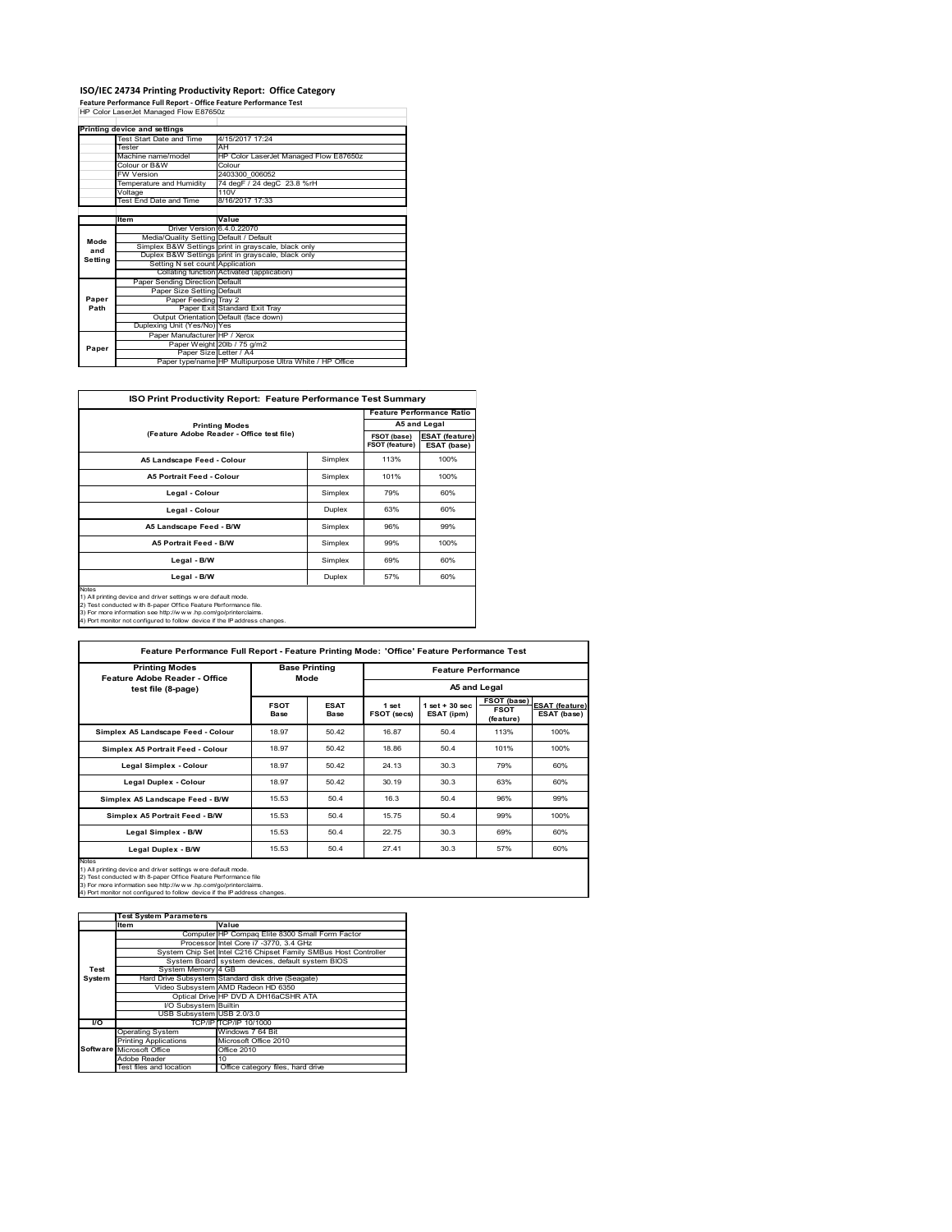#### **ISO/IEC 24734 Printing Productivity Report: Office Category**

**Feature Performance Full Report ‐ Office Feature Performance Test** HP Color LaserJet Managed Flow E87650z

|         | Printing device and settings            |                                                         |
|---------|-----------------------------------------|---------------------------------------------------------|
|         | Test Start Date and Time                | 4/15/2017 17:24                                         |
|         | Tester                                  | AH                                                      |
|         | Machine name/model                      | HP Color LaserJet Managed Flow E87650z                  |
|         | Colour or B&W                           | Colour                                                  |
|         | <b>FW Version</b>                       | 2403300 006052                                          |
|         | Temperature and Humidity                | 74 degF / 24 degC 23.8 %rH                              |
|         | Voltage                                 | 110V                                                    |
|         | Test End Date and Time                  | 8/16/2017 17:33                                         |
|         |                                         |                                                         |
|         | ltem                                    | Value                                                   |
|         | Driver Version 6.4.0.22070              |                                                         |
| Mode    | Media/Quality Setting Default / Default |                                                         |
| and     |                                         | Simplex B&W Settings print in grayscale, black only     |
| Setting |                                         | Duplex B&W Settings print in grayscale, black only      |
|         | Setting N set count Application         |                                                         |
|         |                                         | Collating function Activated (application)              |
|         | Paper Sending Direction Default         |                                                         |
|         | Paper Size Setting Default              |                                                         |
| Paper   | Paper Feeding Tray 2                    |                                                         |
| Path    |                                         | Paper Exit Standard Exit Tray                           |
|         |                                         | Output Orientation Default (face down)                  |
|         | Duplexing Unit (Yes/No) Yes             |                                                         |
|         | Paper Manufacturer HP / Xerox           |                                                         |
| Paper   |                                         | Paper Weight 20lb / 75 g/m2                             |
|         | Paper Size Letter / A4                  |                                                         |
|         |                                         | Paper type/name HP Multipurpose Ultra White / HP Office |

|                            |                                           |      | <b>Feature Performance Ratio</b> |  |
|----------------------------|-------------------------------------------|------|----------------------------------|--|
| <b>Printing Modes</b>      |                                           |      | A5 and Legal                     |  |
|                            | (Feature Adobe Reader - Office test file) |      |                                  |  |
| A5 Landscape Feed - Colour | Simplex                                   | 113% | 100%                             |  |
| A5 Portrait Feed - Colour  | Simplex                                   | 101% | 100%                             |  |
| Legal - Colour             | Simplex                                   | 79%  | 60%                              |  |
| Legal - Colour             | Duplex                                    | 63%  | 60%                              |  |
| A5 Landscape Feed - B/W    | Simplex                                   |      |                                  |  |
| A5 Portrait Feed - B/W     | Simplex                                   | 99%  | 100%                             |  |
| Legal - B/W                | Simplex<br>Legal - B/W<br>Duplex          |      |                                  |  |
|                            |                                           |      |                                  |  |

1) All printing device and driver settings were default mode.<br>2) Test conducted with 8-paper Office Feature Performance file.<br>3) For more information see http://www.hp.com/go/printerclaims.<br>4) Port monitor not configured t

**FSOT Base ESAT Base 1 set FSOT (secs) 1 set + 30 sec ESAT (ipm) FSOT (base) FSOT (feature) ESAT (feature) ESAT (base) Simplex A5 Landscape Feed - Colour 18.97 50.42 16.87 50.4 113% 100% 100% Simplex A5 Portrait Feed - Colour 18.97 50.42** 18.86 50.4 101% 100% **Legal Simplex - Colour 18.97** 18.97 50.42 24.13 30.3 79% 60% **Legal Duplex - Colour 18.97** 50.42 30.19 30.3 63% 60% **Simplex A5 Landscape Feed - B/W** 15.53 50.4 16.3 50.4 96% 99% **Simplex A5 Portrait Feed - B/W** 15.53 50.4 15.75 50.4 99% 100% **Legal Simplex - B/W 15.53** 50.4 22.75 30.3 69% 60% **Legal Duplex - B/W** 15.53 50.4 27.41 30.3 57% 60% Notes<br>1) All printing device and driver settings w ere default mode.<br>2) Test conducted with 8-paper Office Feature Performance file<br>3) For more information see http://www.hp.com/go/printerclaims.<br>4) Por more information se **Feature Performance Full Report - Feature Printing Mode: 'Office' Feature Performance Test Feature Performance A5 and Legal Base Printing Mode Printing Modes Feature Adobe Reader - Office test file (8-page)**

|        | <b>Test System Parameters</b> |                                                                 |
|--------|-------------------------------|-----------------------------------------------------------------|
|        | <b>Item</b>                   | Value                                                           |
|        |                               | Computer HP Compaq Elite 8300 Small Form Factor                 |
|        |                               | Processor Intel Core i7 -3770, 3.4 GHz                          |
|        |                               | System Chip Set Intel C216 Chipset Family SMBus Host Controller |
|        |                               | System Board system devices, default system BIOS                |
| Test   | System Memory 4 GB            |                                                                 |
| System |                               | Hard Drive Subsystem Standard disk drive (Seagate)              |
|        |                               | Video Subsystem AMD Radeon HD 6350                              |
|        |                               | Optical Drive HP DVD A DH16aCSHR ATA                            |
|        | I/O Subsystem Builtin         |                                                                 |
|        | USB Subsystem USB 2.0/3.0     |                                                                 |
| I/O    |                               | TCP/IPITCP/IP 10/1000                                           |
|        | <b>Operating System</b>       | Windows 7 64 Bit                                                |
|        | <b>Printing Applications</b>  | Microsoft Office 2010                                           |
|        | Software Microsoft Office     | Office 2010                                                     |
|        | Adobe Reader                  | 10                                                              |
|        | Test files and location       | Office category files, hard drive                               |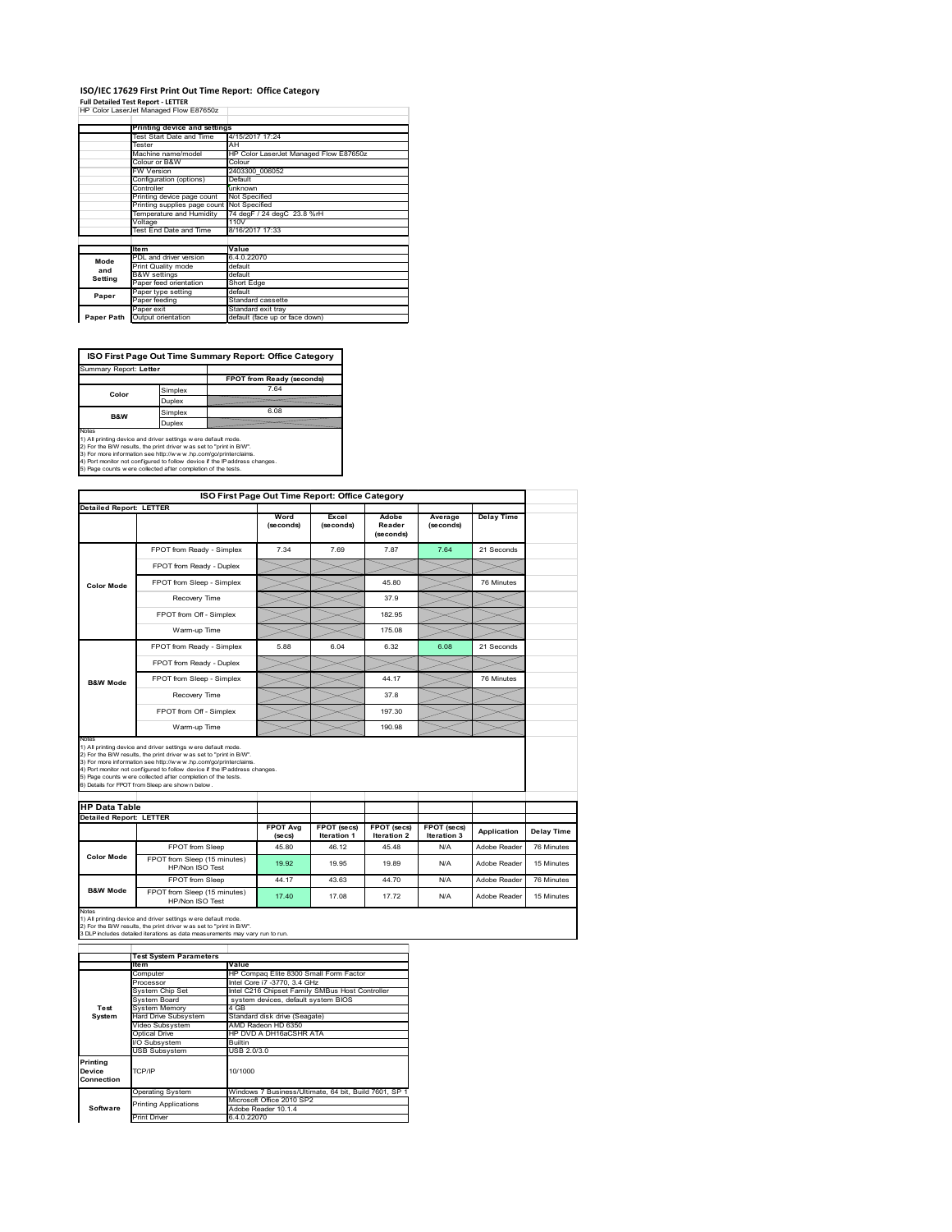#### **ISO/IEC 17629 First Print Out Time Report: Office Category Full Detailed Test Report ‐ LETTER**

|  |  |  | HP Color LaserJet Managed Flow E87650z |
|--|--|--|----------------------------------------|

|            | Printing device and settings |                                        |  |  |  |
|------------|------------------------------|----------------------------------------|--|--|--|
|            | Test Start Date and Time     | 4/15/2017 17:24                        |  |  |  |
|            | Tester                       | AH                                     |  |  |  |
|            | Machine name/model           | HP Color LaserJet Managed Flow E87650z |  |  |  |
|            | Colour or B&W                | Colour                                 |  |  |  |
|            | <b>FW Version</b>            | 2403300 006052                         |  |  |  |
|            | Configuration (options)      | Default                                |  |  |  |
|            | Controller                   | unknown                                |  |  |  |
|            | Printing device page count   | Not Specified                          |  |  |  |
|            | Printing supplies page count | Not Specified                          |  |  |  |
|            | Temperature and Humidity     | 74 degF / 24 degC 23.8 %rH             |  |  |  |
|            | Voltage                      | 110V                                   |  |  |  |
|            | Test End Date and Time       | 8/16/2017 17:33                        |  |  |  |
|            |                              |                                        |  |  |  |
|            | <b>Item</b>                  | Value                                  |  |  |  |
| Mode       | PDL and driver version       | 6.4.0.22070                            |  |  |  |
| and        | Print Quality mode           | default                                |  |  |  |
| Setting    | <b>B&amp;W</b> settings      | default                                |  |  |  |
|            | Paper feed orientation       | Short Edge                             |  |  |  |
| Paper      | Paper type setting           | default                                |  |  |  |
|            | Paper feeding                | Standard cassette                      |  |  |  |
|            | Paper exit                   | Standard exit tray                     |  |  |  |
| Paper Path | Output orientation           | default (face up or face down)         |  |  |  |

**ISO First Page Out Time Summary Report: Office Category**

| Summary Report: Letter                                              |         |                                                                            |
|---------------------------------------------------------------------|---------|----------------------------------------------------------------------------|
|                                                                     |         | FPOT from Ready (seconds)                                                  |
| Color                                                               | Simplex | 7.64                                                                       |
|                                                                     | Duplex  |                                                                            |
| <b>B&amp;W</b>                                                      | Simplex | 6.08                                                                       |
|                                                                     | Duplex  |                                                                            |
| Notes                                                               |         |                                                                            |
| 1) All printing device and driver settings w ere default mode.      |         |                                                                            |
| 2) For the B/W results, the print driver was set to "print in B/W". |         |                                                                            |
| 3) For more information see http://www.hp.com/go/printerclaims.     |         |                                                                            |
|                                                                     |         | 4) Port monitor not configured to follow device if the IP address changes. |
| 5) Page counts w ere collected after completion of the tests.       |         |                                                                            |

|                                                        |                                                                                                                                                                                                                                                                                                                                                                                                             | ISO First Page Out Time Report: Office Category |                    |                              |                      |                              |                          |
|--------------------------------------------------------|-------------------------------------------------------------------------------------------------------------------------------------------------------------------------------------------------------------------------------------------------------------------------------------------------------------------------------------------------------------------------------------------------------------|-------------------------------------------------|--------------------|------------------------------|----------------------|------------------------------|--------------------------|
| <b>Detailed Report: LETTER</b>                         |                                                                                                                                                                                                                                                                                                                                                                                                             |                                                 |                    |                              |                      |                              |                          |
|                                                        |                                                                                                                                                                                                                                                                                                                                                                                                             | Word<br>(seconds)                               | Excel<br>(seconds) | Adobe<br>Reader<br>(seconds) | Average<br>(seconds) | <b>Delay Time</b>            |                          |
|                                                        | FPOT from Ready - Simplex                                                                                                                                                                                                                                                                                                                                                                                   | 7 34                                            | 7.69               | 7.87                         | 7.64                 | 21 Seconds                   |                          |
|                                                        | FPOT from Ready - Duplex                                                                                                                                                                                                                                                                                                                                                                                    |                                                 |                    |                              |                      |                              |                          |
| <b>Color Mode</b>                                      | FPOT from Sleep - Simplex                                                                                                                                                                                                                                                                                                                                                                                   |                                                 |                    | 45.80                        |                      | 76 Minutes                   |                          |
|                                                        | Recovery Time                                                                                                                                                                                                                                                                                                                                                                                               |                                                 |                    | 37.9                         |                      |                              |                          |
|                                                        | FPOT from Off - Simplex                                                                                                                                                                                                                                                                                                                                                                                     |                                                 |                    | 182.95                       |                      |                              |                          |
|                                                        | Warm-up Time                                                                                                                                                                                                                                                                                                                                                                                                |                                                 |                    | 175.08                       |                      |                              |                          |
|                                                        | FPOT from Ready - Simplex                                                                                                                                                                                                                                                                                                                                                                                   | 5.88                                            | 6.04               | 6.32                         | 6.08                 | 21 Seconds                   |                          |
|                                                        | FPOT from Ready - Duplex                                                                                                                                                                                                                                                                                                                                                                                    |                                                 |                    |                              |                      |                              |                          |
| <b>B&amp;W Mode</b>                                    | FPOT from Sleep - Simplex                                                                                                                                                                                                                                                                                                                                                                                   |                                                 |                    | 44.17                        |                      | 76 Minutes                   |                          |
|                                                        | Recovery Time                                                                                                                                                                                                                                                                                                                                                                                               |                                                 |                    | 37.8                         |                      |                              |                          |
|                                                        |                                                                                                                                                                                                                                                                                                                                                                                                             |                                                 |                    |                              |                      |                              |                          |
|                                                        | FPOT from Off - Simplex                                                                                                                                                                                                                                                                                                                                                                                     |                                                 |                    | 197.30                       |                      |                              |                          |
| Notes                                                  | Warm-up Time                                                                                                                                                                                                                                                                                                                                                                                                |                                                 |                    | 190.98                       |                      |                              |                          |
| <b>HP Data Table</b><br><b>Detailed Report: LETTER</b> | 1) All printing device and driver settings w ere default mode.<br>2) For the B/W results, the print driver was set to "print in B/W".<br>3) For more information see http://www.hp.com/go/printerclaims.<br>4) Port monitor not configured to follow device if the IP address changes.<br>5) Page counts w ere collected after completion of the tests.<br>6) Details for FPOT from Sleep are show n below. | <b>FPOT Avg</b>                                 | FPOT (secs)        | FPOT (secs)                  | FPOT (secs)          |                              |                          |
|                                                        |                                                                                                                                                                                                                                                                                                                                                                                                             | (secs)                                          | <b>Iteration 1</b> | <b>Iteration 2</b>           | Iteration 3          | Application                  | Delay Time               |
| <b>Color Mode</b>                                      | FPOT from Sleep<br>FPOT from Sleep (15 minutes)<br>HP/Non ISO Test                                                                                                                                                                                                                                                                                                                                          | 45.80<br>19.92                                  | 46.12<br>19.95     | 45.48<br>19.89               | N/A<br>N/A           | Adobe Reader<br>Adobe Reader | 76 Minutes<br>15 Minutes |
|                                                        | FPOT from Sleep                                                                                                                                                                                                                                                                                                                                                                                             | 44.17                                           | 43.63              | 44.70                        | N/A                  | Adobe Reader                 | 76 Minutes               |

|            | <b>Test System Parameters</b> |                                                       |  |
|------------|-------------------------------|-------------------------------------------------------|--|
|            | lte m                         | Value                                                 |  |
|            | Computer                      | HP Compag Elite 8300 Small Form Factor                |  |
|            | Processor                     | Intel Core i7 -3770, 3.4 GHz                          |  |
|            | System Chip Set               | Intel C216 Chipset Family SMBus Host Controller       |  |
|            | System Board                  | system devices, default system BIOS                   |  |
| Test       | <b>System Memory</b>          | 4 GB                                                  |  |
| System     | <b>Hard Drive Subsystem</b>   | Standard disk drive (Seagate)                         |  |
|            | Video Subsystem               | AMD Radeon HD 6350                                    |  |
|            | Optical Drive                 | HP DVD A DH16aCSHR ATA                                |  |
|            | I/O Subsystem                 | Builtin                                               |  |
|            | <b>USB Subsystem</b>          | USB 2.0/3.0                                           |  |
| Printing   |                               |                                                       |  |
| Device     | TCP/IP                        | 10/1000                                               |  |
| Connection |                               |                                                       |  |
|            | <b>Operating System</b>       | Windows 7 Business/Ultimate, 64 bit, Build 7601, SP 1 |  |
|            | <b>Printing Applications</b>  | Microsoft Office 2010 SP2                             |  |
| Software   |                               | Adobe Reader 10.1.4                                   |  |
|            | <b>Print Driver</b>           | 6.4.0.22070                                           |  |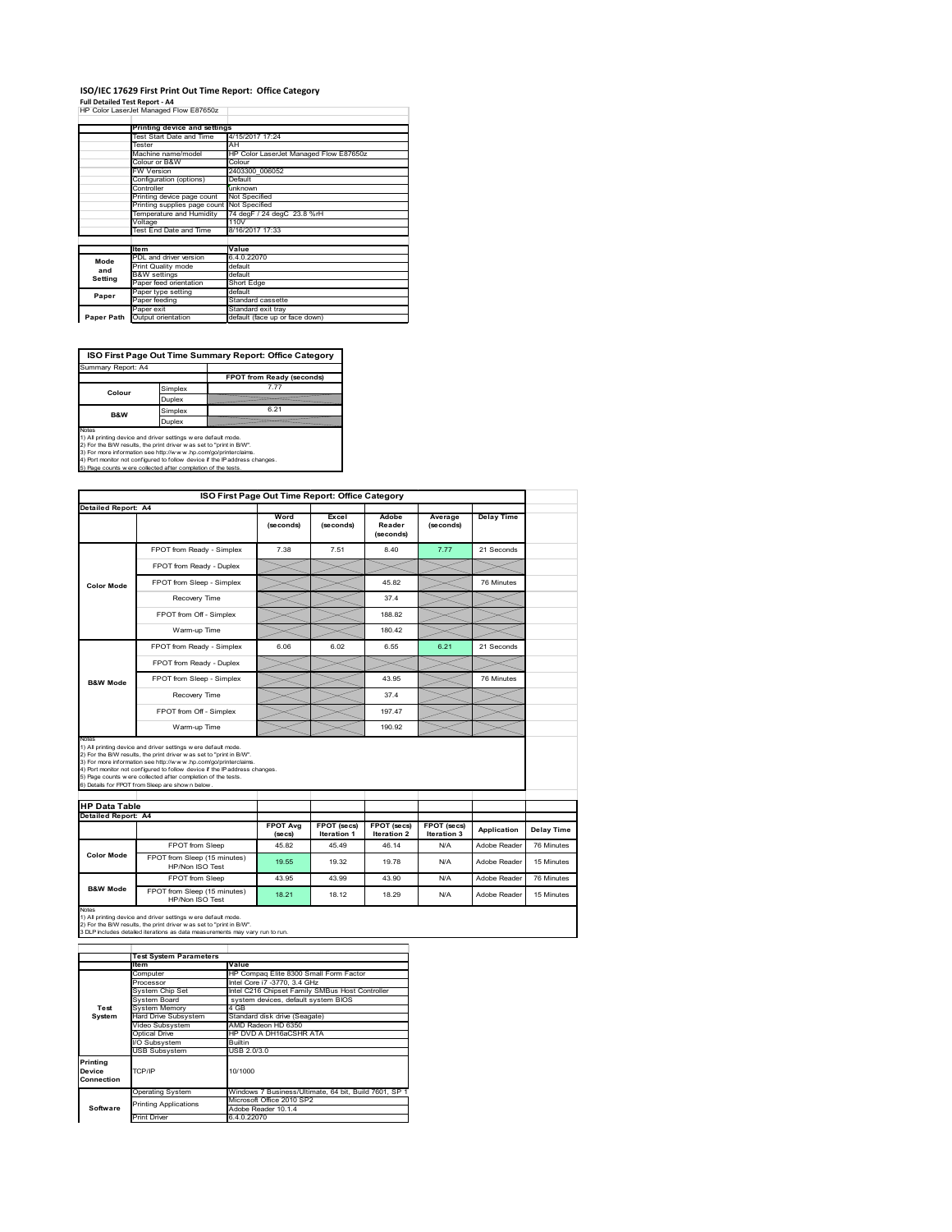# **ISO/IEC 17629 First Print Out Time Report: Office Category**

**Full Detailed Test Report ‐ A4** HP Color LaserJet Managed Flow E87650z

|            | Printing device and settings |                                        |  |  |  |
|------------|------------------------------|----------------------------------------|--|--|--|
|            | Test Start Date and Time     | 4/15/2017 17:24                        |  |  |  |
|            | Tester                       | AH                                     |  |  |  |
|            | Machine name/model           | HP Color LaserJet Managed Flow E87650z |  |  |  |
|            | Colour or B&W                | Colour                                 |  |  |  |
|            | <b>FW Version</b>            | 2403300 006052                         |  |  |  |
|            | Configuration (options)      | Default                                |  |  |  |
|            | Controller                   | unknown                                |  |  |  |
|            | Printing device page count   | Not Specified                          |  |  |  |
|            | Printing supplies page count | Not Specified                          |  |  |  |
|            | Temperature and Humidity     | 74 degF / 24 degC 23.8 %rH             |  |  |  |
|            | Voltage                      | 110V                                   |  |  |  |
|            | Test End Date and Time       | 8/16/2017 17:33                        |  |  |  |
|            |                              |                                        |  |  |  |
|            | <b>Item</b>                  | Value                                  |  |  |  |
| Mode       | PDL and driver version       | 6.4.0.22070                            |  |  |  |
| and        | Print Quality mode           | default                                |  |  |  |
| Setting    | <b>B&amp;W</b> settings      | default                                |  |  |  |
|            | Paper feed orientation       | Short Edge                             |  |  |  |
| Paper      | Paper type setting           | default                                |  |  |  |
|            | Paper feeding                | Standard cassette                      |  |  |  |
|            | Paper exit                   | Standard exit tray                     |  |  |  |
| Paper Path | Output orientation           | default (face up or face down)         |  |  |  |

**ISO First Page Out Time Summary Report: Office Category**

| Summary Report: A4 |         |                           |
|--------------------|---------|---------------------------|
|                    |         | FPOT from Ready (seconds) |
| Colour             | Simplex | 7 7 7                     |
|                    | Duplex  |                           |
| <b>B&amp;W</b>     | Simplex | 6.21                      |
|                    | Duplex  |                           |
|                    |         |                           |

Notes<br>1) All printing device and driver settings were default mode.<br>2) For the BAV results, the print driver was set to "print in BAV".<br>3) For more information see http://www.hp.com/golprinterclaims.<br>4) Port monitor not co

|                      |                                                                                                                                                                                                                                                                                                                                                                                                             | ISO First Page Out Time Report: Office Category |                                   |                                   |                            |                   |            |  |
|----------------------|-------------------------------------------------------------------------------------------------------------------------------------------------------------------------------------------------------------------------------------------------------------------------------------------------------------------------------------------------------------------------------------------------------------|-------------------------------------------------|-----------------------------------|-----------------------------------|----------------------------|-------------------|------------|--|
|                      | Detailed Report: A4                                                                                                                                                                                                                                                                                                                                                                                         |                                                 |                                   |                                   |                            |                   |            |  |
|                      |                                                                                                                                                                                                                                                                                                                                                                                                             | Word<br>(seconds)                               | Excel<br>(seconds)                | Adobe<br>Reader<br>(seconds)      | Average<br>(seconds)       | <b>Delay Time</b> |            |  |
|                      | FPOT from Ready - Simplex                                                                                                                                                                                                                                                                                                                                                                                   | 7.38                                            | 7.51                              | 8.40                              | 7.77                       | 21 Seconds        |            |  |
|                      | FPOT from Ready - Duplex                                                                                                                                                                                                                                                                                                                                                                                    |                                                 |                                   |                                   |                            |                   |            |  |
| <b>Color Mode</b>    | FPOT from Sleep - Simplex                                                                                                                                                                                                                                                                                                                                                                                   |                                                 |                                   | 45.82                             |                            | 76 Minutes        |            |  |
|                      | Recovery Time                                                                                                                                                                                                                                                                                                                                                                                               |                                                 |                                   | 37.4                              |                            |                   |            |  |
|                      | FPOT from Off - Simplex                                                                                                                                                                                                                                                                                                                                                                                     |                                                 |                                   | 188.82                            |                            |                   |            |  |
|                      | Warm-up Time                                                                                                                                                                                                                                                                                                                                                                                                |                                                 |                                   | 180.42                            |                            |                   |            |  |
|                      | FPOT from Ready - Simplex                                                                                                                                                                                                                                                                                                                                                                                   | 6.06                                            | 6.02                              | 6.55                              | 6.21                       | 21 Seconds        |            |  |
| <b>B&amp;W Mode</b>  | FPOT from Ready - Duplex                                                                                                                                                                                                                                                                                                                                                                                    |                                                 |                                   |                                   |                            |                   |            |  |
|                      | FPOT from Sleep - Simplex                                                                                                                                                                                                                                                                                                                                                                                   |                                                 |                                   | 43.95                             |                            | 76 Minutes        |            |  |
|                      | Recovery Time                                                                                                                                                                                                                                                                                                                                                                                               |                                                 |                                   | 374                               |                            |                   |            |  |
|                      |                                                                                                                                                                                                                                                                                                                                                                                                             |                                                 |                                   |                                   |                            |                   |            |  |
|                      | FPOT from Off - Simplex                                                                                                                                                                                                                                                                                                                                                                                     |                                                 |                                   | 19747                             |                            |                   |            |  |
| Notes                | Warm-up Time                                                                                                                                                                                                                                                                                                                                                                                                |                                                 |                                   | 190.92                            |                            |                   |            |  |
| <b>HP Data Table</b> | 1) All printing device and driver settings w ere default mode.<br>2) For the B/W results, the print driver was set to "print in B/W".<br>3) For more information see http://www.hp.com/go/printerclaims.<br>4) Port monitor not configured to follow device if the IP address changes.<br>5) Page counts w ere collected after completion of the tests.<br>6) Details for FPOT from Sleep are show n below. |                                                 |                                   |                                   |                            |                   |            |  |
| Detailed Report: A4  |                                                                                                                                                                                                                                                                                                                                                                                                             |                                                 |                                   |                                   |                            |                   |            |  |
|                      |                                                                                                                                                                                                                                                                                                                                                                                                             | <b>FPOT Avg</b><br>(se cs)                      | FPOT (secs)<br><b>Iteration 1</b> | FPOT (secs)<br><b>Iteration 2</b> | FPOT (secs)<br>Iteration 3 | Application       | Delay Time |  |
|                      | FPOT from Sleep                                                                                                                                                                                                                                                                                                                                                                                             | 45.82                                           | 45.49                             | 46.14                             | N/A                        | Adobe Reader      | 76 Minutes |  |
| <b>Color Mode</b>    | FPOT from Sleep (15 minutes)<br>HP/Non ISO Test                                                                                                                                                                                                                                                                                                                                                             | 19.55                                           | 19.32                             | 19 78                             | N/A                        | Adobe Reader      | 15 Minutes |  |
| <b>B&amp;W Mode</b>  | FPOT from Sleep                                                                                                                                                                                                                                                                                                                                                                                             | 43.95                                           | 43.99                             | 43.90                             | N/A                        | Adobe Reader      | 76 Minutes |  |

1) All printing device and driver settings w ere default mode.<br>2) For the B/W results, the print driver w as set to "print in B/W".<br>3 DLP includes detailed iterations as data measurements may vary run to run.

|                                  | <b>Test System Parameters</b> |                                                       |  |  |
|----------------------------------|-------------------------------|-------------------------------------------------------|--|--|
|                                  | lte m                         | Value                                                 |  |  |
|                                  | Computer                      | HP Compag Elite 8300 Small Form Factor                |  |  |
|                                  | Processor                     | Intel Core i7 -3770, 3.4 GHz                          |  |  |
|                                  | System Chip Set               | Intel C216 Chipset Family SMBus Host Controller       |  |  |
|                                  | System Board                  | system devices, default system BIOS                   |  |  |
| Test                             | <b>System Memory</b>          | 4 GB                                                  |  |  |
| System                           | <b>Hard Drive Subsystem</b>   | Standard disk drive (Seagate)                         |  |  |
|                                  | Video Subsystem               | AMD Radeon HD 6350                                    |  |  |
|                                  | Optical Drive                 | HP DVD A DH16aCSHR ATA                                |  |  |
|                                  | I/O Subsystem                 | <b>Builtin</b>                                        |  |  |
|                                  | <b>USB Subsystem</b>          | USB 2.0/3.0                                           |  |  |
| Printing<br>Device<br>Connection | TCP/IP                        | 10/1000                                               |  |  |
|                                  | <b>Operating System</b>       | Windows 7 Business/Ultimate, 64 bit, Build 7601, SP 1 |  |  |
|                                  | <b>Printing Applications</b>  | Microsoft Office 2010 SP2                             |  |  |
| Software                         |                               | Adobe Reader 10.1.4                                   |  |  |
|                                  | <b>Print Driver</b>           | 6.4.0.22070                                           |  |  |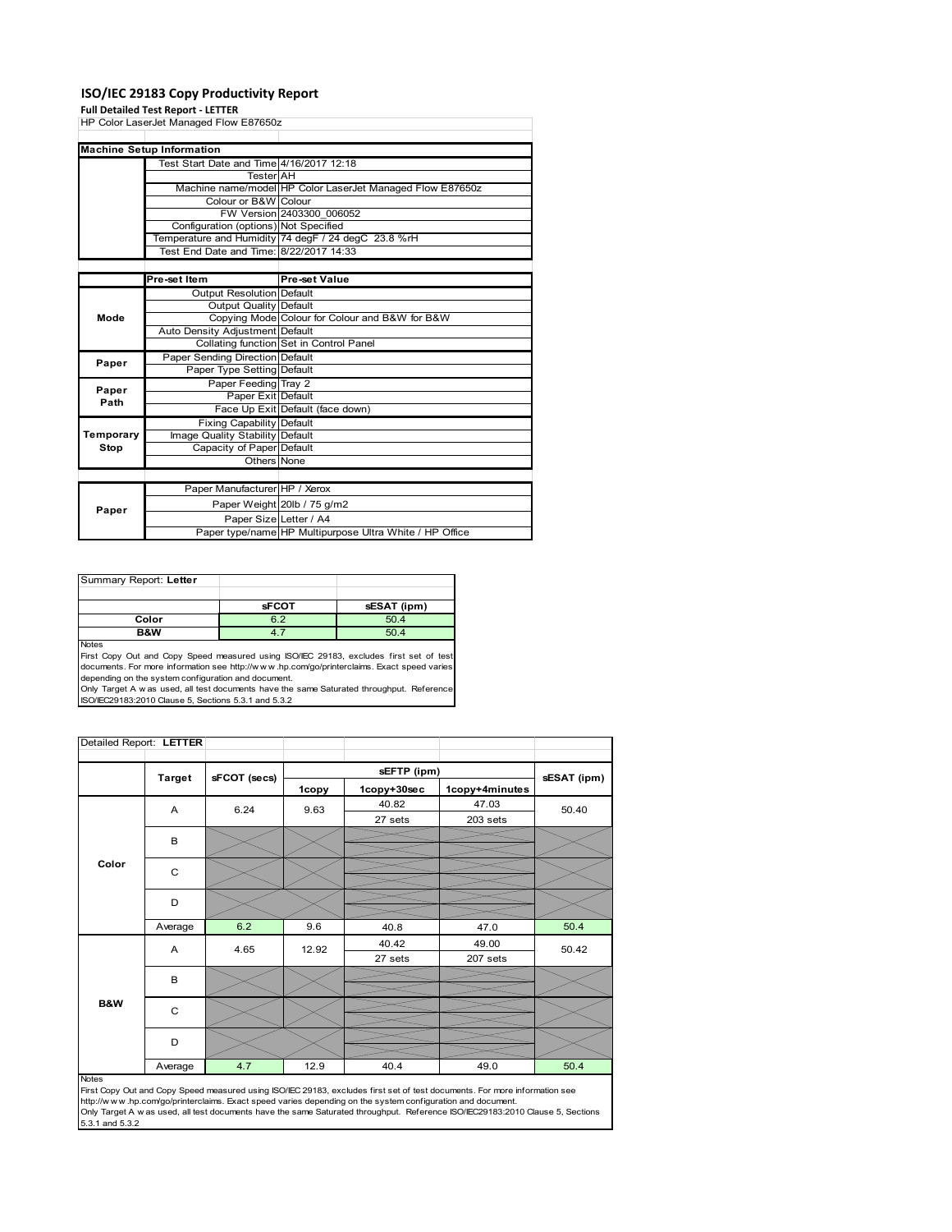### **ISO/IEC 29183 Copy Productivity Report**

### **Full Detailed Test Report ‐ LETTER**

|           | HP Color LaserJet Managed Flow E87650z   |                                                           |  |
|-----------|------------------------------------------|-----------------------------------------------------------|--|
|           |                                          |                                                           |  |
|           | <b>Machine Setup Information</b>         |                                                           |  |
|           | Test Start Date and Time 4/16/2017 12:18 |                                                           |  |
|           | <b>Tester</b> AH                         |                                                           |  |
|           |                                          | Machine name/model HP Color LaserJet Managed Flow E87650z |  |
|           | Colour or B&W Colour                     |                                                           |  |
|           |                                          | FW Version 2403300 006052                                 |  |
|           | Configuration (options) Not Specified    |                                                           |  |
|           |                                          | Temperature and Humidity 74 degF / 24 degC 23.8 %rH       |  |
|           | Test End Date and Time: 8/22/2017 14:33  |                                                           |  |
|           |                                          |                                                           |  |
|           | Pre-set Item                             | Pre-set Value                                             |  |
| Mode      | <b>Output Resolution Default</b>         |                                                           |  |
|           | Output Quality Default                   |                                                           |  |
|           |                                          | Copying Mode Colour for Colour and B&W for B&W            |  |
|           | Auto Density Adjustment Default          |                                                           |  |
|           |                                          | Collating function Set in Control Panel                   |  |
| Paper     | Paper Sending Direction Default          |                                                           |  |
|           | Paper Type Setting Default               |                                                           |  |
| Paper     | Paper Feeding Tray 2                     |                                                           |  |
| Path      | Paper Exit Default                       |                                                           |  |
|           |                                          | Face Up Exit Default (face down)                          |  |
|           | <b>Fixing Capability Default</b>         |                                                           |  |
| Temporary | Image Quality Stability Default          |                                                           |  |
| Stop      | Capacity of Paper Default                |                                                           |  |
|           | Others None                              |                                                           |  |
|           |                                          |                                                           |  |
|           | Paper Manufacturer HP / Xerox            |                                                           |  |
|           |                                          | Paper Weight 20lb / 75 g/m2                               |  |
| Paper     | Paper Size Letter / A4                   |                                                           |  |
|           |                                          | Paper type/name HP Multipurpose Ultra White / HP Office   |  |

| Summary Report: Letter |              |             |
|------------------------|--------------|-------------|
|                        |              |             |
|                        | <b>sFCOT</b> | sESAT (ipm) |
| Color                  | 6.2          | 50.4        |
| <b>B&amp;W</b>         |              | 50.4        |
| <b>Nickon</b>          |              |             |

Notes<br>First Copy Out and Copy Speed measured using ISO/IEC 29183, excludes first set of test<br>documents. For more information see http://www..hp.com/go/printerclaims. Exact speed varies

depending on the system configuration and document.<br>Only Target A w as used, all test documents have the same Saturated throughput. Reference<br>ISO/IEC29183:2010 Clause 5, Sections 5.3.1 and 5.3.2

| Detailed Report: LETTER |               |              |       |             |                |             |
|-------------------------|---------------|--------------|-------|-------------|----------------|-------------|
|                         |               |              |       | sEFTP (ipm) |                |             |
|                         | <b>Target</b> | sFCOT (secs) | 1copy | 1copy+30sec | 1copy+4minutes | sESAT (ipm) |
|                         | A             | 6.24         | 9.63  | 40.82       | 47.03          | 50.40       |
|                         |               |              |       | 27 sets     | 203 sets       |             |
|                         | В             |              |       |             |                |             |
|                         |               |              |       |             |                |             |
| Color                   | C             |              |       |             |                |             |
|                         |               |              |       |             |                |             |
|                         | D             |              |       |             |                |             |
|                         | Average       | 6.2          | 9.6   | 40.8        | 47.0           | 50.4        |
|                         | A             | 4.65         | 12.92 | 40.42       | 49.00          | 50.42       |
|                         |               |              |       | 27 sets     | 207 sets       |             |
|                         | B             |              |       |             |                |             |
|                         |               |              |       |             |                |             |
| B&W                     | C             |              |       |             |                |             |
|                         |               |              |       |             |                |             |
|                         | D             |              |       |             |                |             |
|                         | Average       | 4.7          | 12.9  | 40.4        | 49.0           | 50.4        |

#### Notes

First Copy Out and Copy Speed measured using ISO/IEC 29183, excludes first set of test documents. For more information see<br>http://w w w.hp.com/go/printerclaims. Exact speed varies depending on the system configuration and 5.3.1 and 5.3.2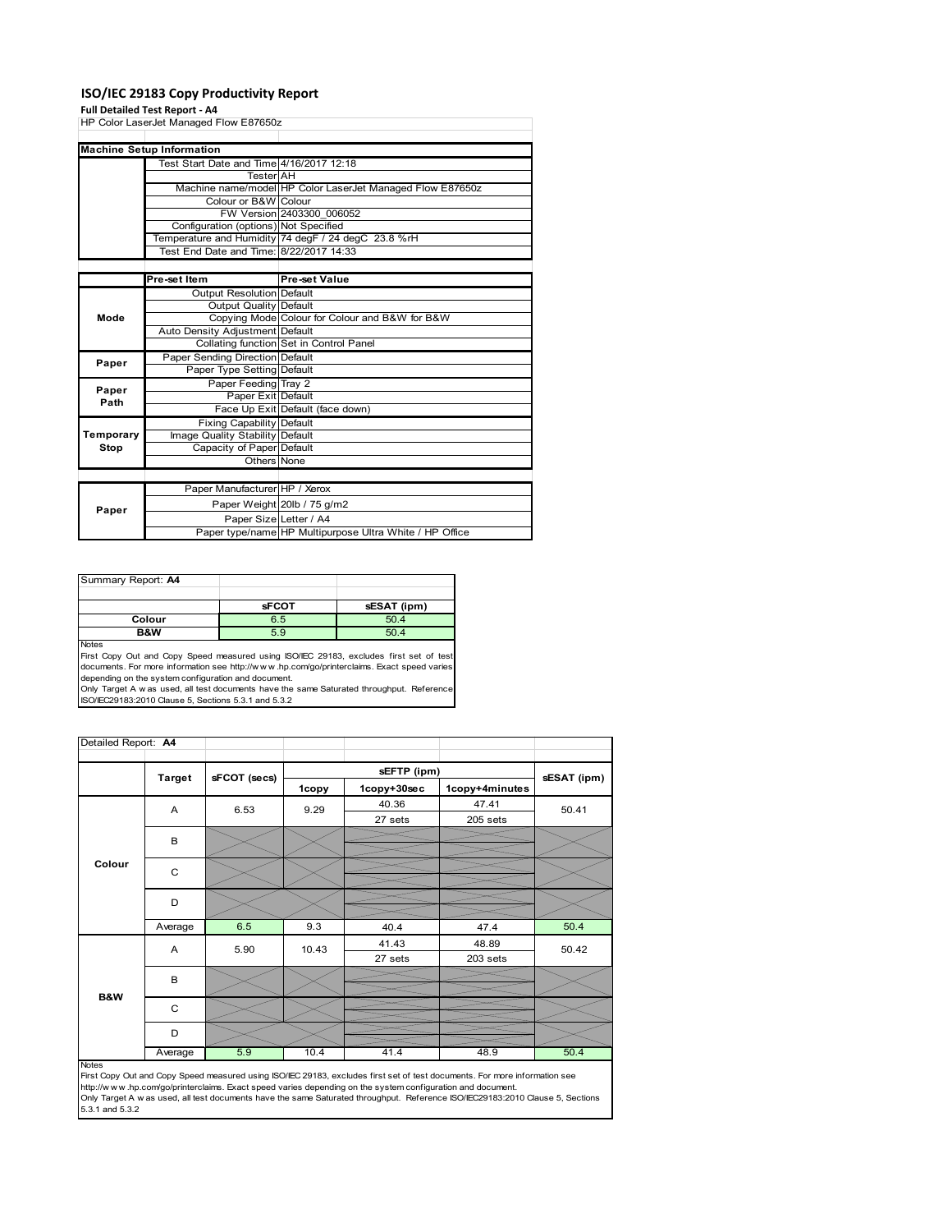### **ISO/IEC 29183 Copy Productivity Report**

### **Full Detailed Test Report ‐ A4**

|           | HP Color LaserJet Managed Flow E87650z   |                                                           |  |
|-----------|------------------------------------------|-----------------------------------------------------------|--|
|           |                                          |                                                           |  |
|           | <b>Machine Setup Information</b>         |                                                           |  |
|           | Test Start Date and Time 4/16/2017 12:18 |                                                           |  |
|           | <b>Tester</b> AH                         |                                                           |  |
|           |                                          | Machine name/model HP Color LaserJet Managed Flow E87650z |  |
|           | Colour or B&W Colour                     |                                                           |  |
|           |                                          | FW Version 2403300 006052                                 |  |
|           | Configuration (options) Not Specified    |                                                           |  |
|           |                                          | Temperature and Humidity 74 degF / 24 degC 23.8 %rH       |  |
|           | Test End Date and Time: 8/22/2017 14:33  |                                                           |  |
|           |                                          |                                                           |  |
|           | Pre-set Item                             | <b>Pre-set Value</b>                                      |  |
|           | <b>Output Resolution Default</b>         |                                                           |  |
|           | Output Quality Default                   |                                                           |  |
| Mode      |                                          | Copying Mode Colour for Colour and B&W for B&W            |  |
|           | Auto Density Adjustment Default          |                                                           |  |
|           |                                          | Collating function Set in Control Panel                   |  |
| Paper     | Paper Sending Direction Default          |                                                           |  |
|           | Paper Type Setting Default               |                                                           |  |
| Paper     | Paper Feeding Tray 2                     |                                                           |  |
| Path      | Paper Exit Default                       |                                                           |  |
|           |                                          | Face Up Exit Default (face down)                          |  |
|           | <b>Fixing Capability Default</b>         |                                                           |  |
| Temporary | Image Quality Stability Default          |                                                           |  |
| Stop      | Capacity of Paper Default                |                                                           |  |
|           | Others None                              |                                                           |  |
|           |                                          |                                                           |  |
|           | Paper Manufacturer HP / Xerox            |                                                           |  |
|           |                                          | Paper Weight 20lb / 75 g/m2                               |  |
| Paper     | Paper Size Letter / A4                   |                                                           |  |
|           |                                          | Paper type/name HP Multipurpose Ultra White / HP Office   |  |

| Summary Report: A4 |              |             |
|--------------------|--------------|-------------|
|                    |              |             |
|                    | <b>sFCOT</b> | sESAT (ipm) |
| Colour             | 6.5          | 50.4        |
| B&W                | 5.9          | 50.4        |
| <b>Notes</b>       |              |             |

First Copy Out and Copy Speed measured using ISO/IEC 29183, excludes first set of test documents. For more information see http://w w w .hp.com/go/printerclaims. Exact speed varies

depending on the system configuration and document.<br>Only Target A w as used, all test documents have the same Saturated throughput. Reference<br>ISO/IEC29183:2010 Clause 5, Sections 5.3.1 and 5.3.2

| Detailed Report: A4 |               |              |       |             |                |             |
|---------------------|---------------|--------------|-------|-------------|----------------|-------------|
|                     |               |              |       | sEFTP (ipm) |                |             |
|                     | <b>Target</b> | sFCOT (secs) | 1copy | 1copy+30sec | 1copy+4minutes | sESAT (ipm) |
|                     | A             | 6.53         | 9.29  | 40.36       | 47.41          | 50.41       |
|                     |               |              |       | 27 sets     | 205 sets       |             |
|                     | B             |              |       |             |                |             |
| Colour              |               |              |       |             |                |             |
|                     | C             |              |       |             |                |             |
|                     |               |              |       |             |                |             |
|                     | D             |              |       |             |                |             |
|                     |               |              |       |             |                |             |
|                     | Average       | 6.5          | 9.3   | 40.4        | 47.4           | 50.4        |
|                     | A             | 5.90         | 10.43 | 41.43       | 48.89          | 50.42       |
|                     |               |              |       | 27 sets     | 203 sets       |             |
|                     | B             |              |       |             |                |             |
| B&W                 |               |              |       |             |                |             |
|                     | C             |              |       |             |                |             |
|                     |               |              |       |             |                |             |
|                     | D             |              |       |             |                |             |
|                     | Average       | 5.9          | 10.4  | 41.4        | 48.9           | 50.4        |

Average 6.9 10.4 41.4 48.9 50.4<br>
First Copy Out and Copy Speed measured using ISO/IEC 29183, excludes first set of test documents. For more information see<br>
First://www.hp.com/go/printerclaims. Exact speed varies depending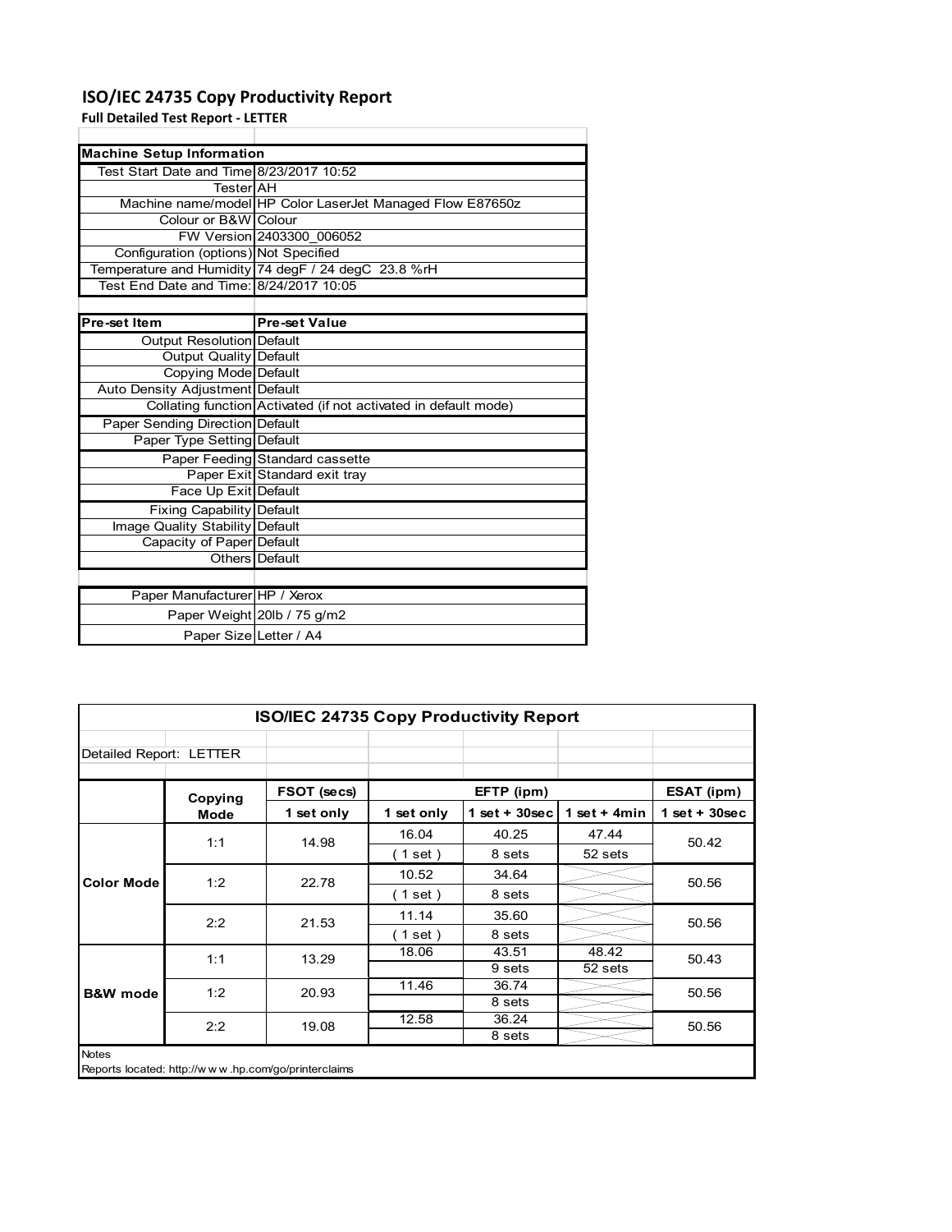# **ISO/IEC 24735 Copy Productivity Report**

**Full Detailed Test Report ‐ LETTER**

| <b>Machine Setup Information</b>         |                                                                 |  |  |  |  |
|------------------------------------------|-----------------------------------------------------------------|--|--|--|--|
| Test Start Date and Time 8/23/2017 10:52 |                                                                 |  |  |  |  |
| TesterIAH                                |                                                                 |  |  |  |  |
|                                          | Machine name/model HP Color LaserJet Managed Flow E87650z       |  |  |  |  |
| Colour or B&W Colour                     |                                                                 |  |  |  |  |
|                                          | FW Version 2403300 006052                                       |  |  |  |  |
| Configuration (options) Not Specified    |                                                                 |  |  |  |  |
|                                          | Temperature and Humidity 74 degF / 24 degC 23.8 %rH             |  |  |  |  |
| Test End Date and Time: 8/24/2017 10:05  |                                                                 |  |  |  |  |
|                                          |                                                                 |  |  |  |  |
| Pre-set Item                             | <b>Pre-set Value</b>                                            |  |  |  |  |
| <b>Output Resolution Default</b>         |                                                                 |  |  |  |  |
| <b>Output Quality Default</b>            |                                                                 |  |  |  |  |
| Copying Mode Default                     |                                                                 |  |  |  |  |
| Auto Density Adjustment Default          |                                                                 |  |  |  |  |
|                                          | Collating function Activated (if not activated in default mode) |  |  |  |  |
| Paper Sending Direction Default          |                                                                 |  |  |  |  |
| Paper Type Setting Default               |                                                                 |  |  |  |  |
|                                          | Paper Feeding Standard cassette                                 |  |  |  |  |
|                                          | Paper Exit Standard exit tray                                   |  |  |  |  |
| Face Up Exit Default                     |                                                                 |  |  |  |  |
| <b>Fixing Capability Default</b>         |                                                                 |  |  |  |  |
| Image Quality Stability Default          |                                                                 |  |  |  |  |
| Capacity of Paper Default                |                                                                 |  |  |  |  |
|                                          | Others Default                                                  |  |  |  |  |
|                                          |                                                                 |  |  |  |  |
| Paper Manufacturer HP / Xerox            |                                                                 |  |  |  |  |
|                                          | Paper Weight 20lb / 75 g/m2                                     |  |  |  |  |
| Paper Size Letter / A4                   |                                                                 |  |  |  |  |

| <b>ISO/IEC 24735 Copy Productivity Report</b> |             |                                                     |            |                  |                 |                 |  |
|-----------------------------------------------|-------------|-----------------------------------------------------|------------|------------------|-----------------|-----------------|--|
| Detailed Report: LETTER                       |             |                                                     |            |                  |                 |                 |  |
|                                               | Copying     | FSOT (secs)                                         |            | EFTP (ipm)       |                 | ESAT (ipm)      |  |
|                                               | <b>Mode</b> | 1 set only                                          | 1 set only | 1 set + $30$ sec | 1 set $+$ 4 min | $1$ set + 30sec |  |
|                                               | 1:1         | 14.98                                               | 16.04      | 40.25            | 47.44           | 50.42           |  |
| <b>Color Mode</b>                             |             |                                                     | (1 set)    | 8 sets           | 52 sets         |                 |  |
|                                               | 1:2         | 22.78                                               | 10.52      | 34.64            |                 | 50.56           |  |
|                                               |             |                                                     | (1 set)    | 8 sets           |                 |                 |  |
|                                               | 2:2         | 21.53                                               | 11.14      | 35.60            |                 | 50.56           |  |
|                                               |             |                                                     | (1 set)    | 8 sets           |                 |                 |  |
|                                               | 1:1         | 13.29                                               | 18.06      | 43.51            | 48.42           | 50.43           |  |
|                                               |             |                                                     |            | 9 sets           | 52 sets         |                 |  |
| <b>B&amp;W</b> mode                           | 1:2         | 20.93                                               | 11.46      | 36.74            |                 | 50.56           |  |
|                                               |             |                                                     |            | 8 sets           |                 |                 |  |
|                                               | 2:2         | 19.08                                               | 12.58      | 36.24            |                 | 50.56           |  |
|                                               |             |                                                     |            | 8 sets           |                 |                 |  |
| <b>Notes</b>                                  |             | Reports located: http://www.hp.com/go/printerclaims |            |                  |                 |                 |  |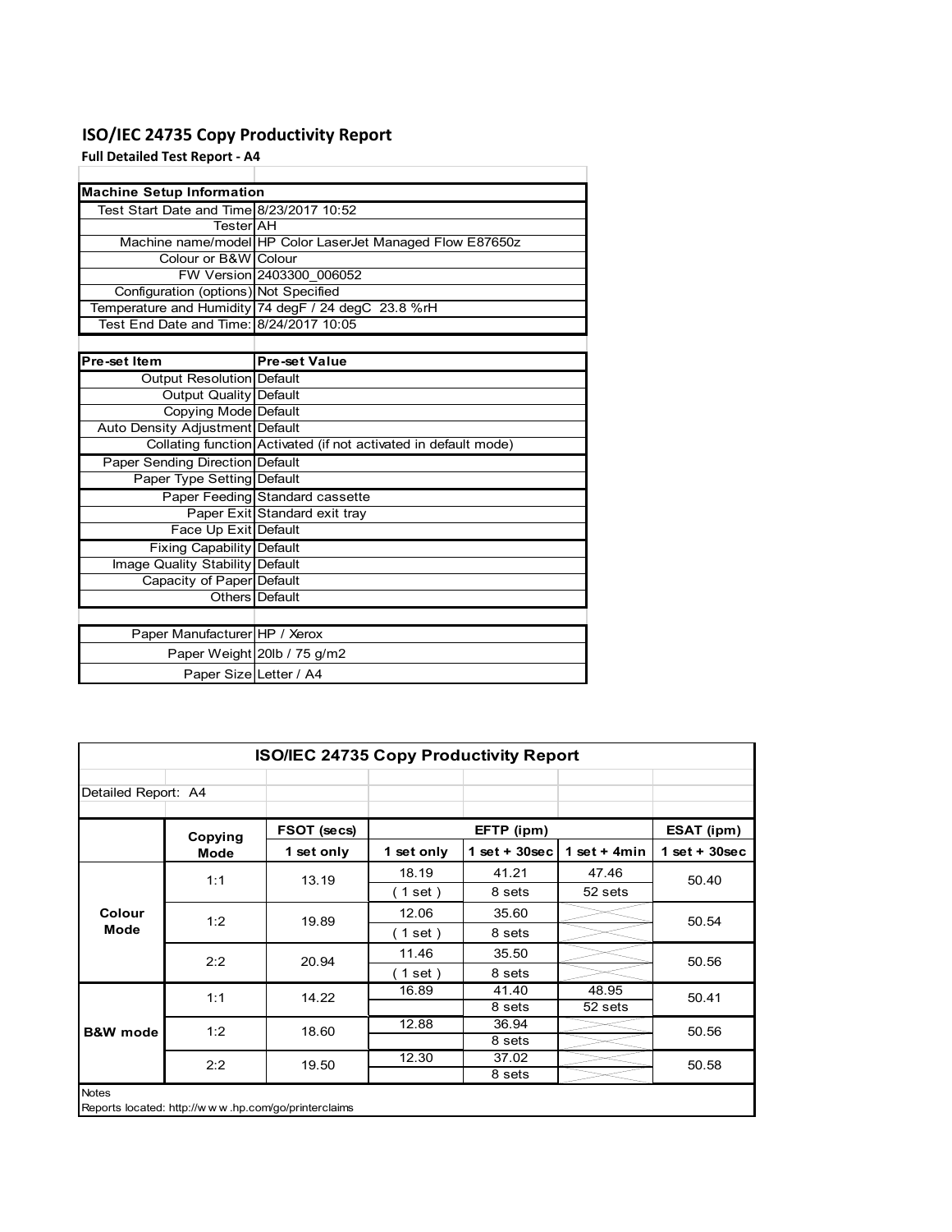# **ISO/IEC 24735 Copy Productivity Report**

**Full Detailed Test Report ‐ A4**

| <b>Machine Setup Information</b>         |                                                                 |
|------------------------------------------|-----------------------------------------------------------------|
| Test Start Date and Time 8/23/2017 10:52 |                                                                 |
| TesterlAH                                |                                                                 |
|                                          | Machine name/model HP Color LaserJet Managed Flow E87650z       |
| Colour or B&W Colour                     |                                                                 |
|                                          | FW Version 2403300 006052                                       |
| Configuration (options) Not Specified    |                                                                 |
|                                          | Temperature and Humidity 74 degF / 24 degC 23.8 %rH             |
| Test End Date and Time: 8/24/2017 10:05  |                                                                 |
|                                          |                                                                 |
| Pre-set Item                             | <b>Pre-set Value</b>                                            |
| Output Resolution Default                |                                                                 |
| <b>Output Quality Default</b>            |                                                                 |
| Copying Mode Default                     |                                                                 |
| Auto Density Adjustment Default          |                                                                 |
|                                          | Collating function Activated (if not activated in default mode) |
| <b>Paper Sending Direction Default</b>   |                                                                 |
| Paper Type Setting Default               |                                                                 |
|                                          | Paper Feeding Standard cassette                                 |
|                                          | Paper Exit Standard exit tray                                   |
| Face Up Exit Default                     |                                                                 |
| <b>Fixing Capability Default</b>         |                                                                 |
| Image Quality Stability Default          |                                                                 |
| Capacity of Paper Default                |                                                                 |
|                                          | Others Default                                                  |
|                                          |                                                                 |
| Paper Manufacturer HP / Xerox            |                                                                 |
|                                          | Paper Weight 20lb / 75 g/m2                                     |
| Paper Size Letter / A4                   |                                                                 |

|                     | ISO/IEC 24735 Copy Productivity Report |                                                     |            |                 |                 |                 |  |  |  |
|---------------------|----------------------------------------|-----------------------------------------------------|------------|-----------------|-----------------|-----------------|--|--|--|
| Detailed Report: A4 |                                        |                                                     |            |                 |                 |                 |  |  |  |
|                     | Copying                                | FSOT (secs)                                         |            | EFTP (ipm)      |                 | ESAT (ipm)      |  |  |  |
|                     | Mode                                   | 1 set only                                          | 1 set only | $1$ set + 30sec | 1 set $+$ 4 min | $1$ set + 30sec |  |  |  |
| Colour              | 1:1                                    | 13.19                                               | 18.19      | 41.21           | 47.46           | 50.40           |  |  |  |
|                     |                                        |                                                     | (1 set)    | 8 sets          | 52 sets         |                 |  |  |  |
|                     | 1:2                                    | 19.89                                               | 12.06      | 35.60           |                 | 50.54           |  |  |  |
| Mode                |                                        |                                                     | (1 set)    | 8 sets          |                 |                 |  |  |  |
|                     | 2:2                                    | 20.94                                               | 11.46      | 35.50           |                 | 50.56           |  |  |  |
|                     |                                        |                                                     | (1 set)    | 8 sets          |                 |                 |  |  |  |
| <b>B&amp;W</b> mode | 1:1                                    | 14.22                                               | 16.89      | 41.40           | 48.95           | 50.41           |  |  |  |
|                     |                                        |                                                     |            | 8 sets          | 52 sets         |                 |  |  |  |
|                     | 1:2                                    | 18.60                                               | 12.88      | 36.94           |                 | 50.56           |  |  |  |
|                     |                                        |                                                     |            | 8 sets          |                 |                 |  |  |  |
|                     | 2:2                                    | 19.50                                               | 12.30      | 37.02           |                 | 50.58           |  |  |  |
|                     |                                        |                                                     |            | 8 sets          |                 |                 |  |  |  |
| <b>Notes</b>        |                                        | Reports located: http://www.hp.com/go/printerclaims |            |                 |                 |                 |  |  |  |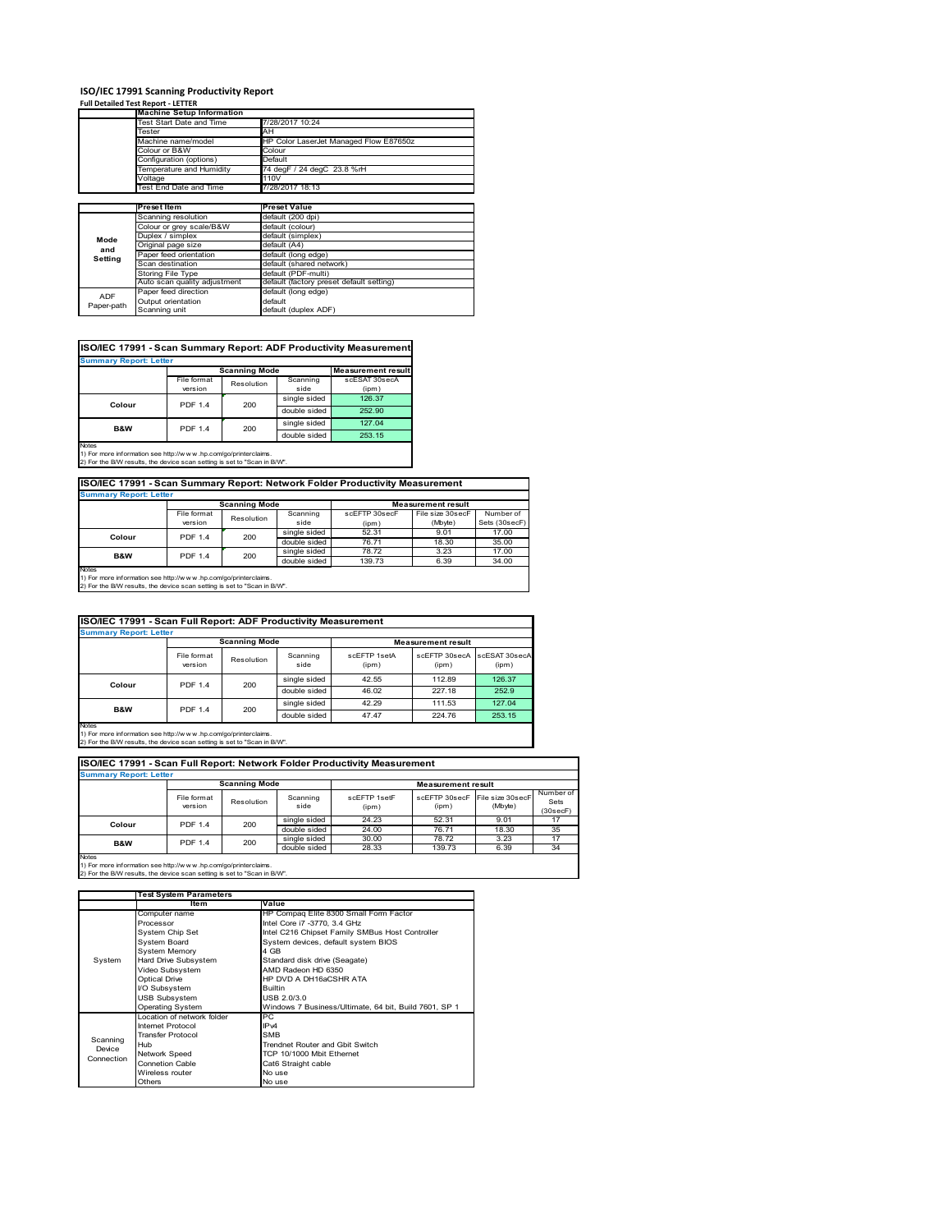# **ISO/IEC 17991 Scanning Productivity Report Full Detailed Test Report ‐ LETTER Machine Setup Information**

|                | <b>Machine Setup Information</b> |                                          |  |  |  |  |
|----------------|----------------------------------|------------------------------------------|--|--|--|--|
|                | Fest Start Date and Time         | 7/28/2017 10:24                          |  |  |  |  |
|                | Tester                           | AH                                       |  |  |  |  |
|                | Machine name/model               | HP Color LaserJet Managed Flow E87650z   |  |  |  |  |
|                | Colour or B&W                    | Colour                                   |  |  |  |  |
|                | Configuration (options)          | Default                                  |  |  |  |  |
|                | Temperature and Humidity         | 74 degF / 24 degC 23.8 %rH               |  |  |  |  |
|                | Voltage                          | 110V                                     |  |  |  |  |
|                | Test End Date and Time           | 7/28/2017 18:13                          |  |  |  |  |
|                |                                  |                                          |  |  |  |  |
|                | <b>Preset Item</b>               | <b>Preset Value</b>                      |  |  |  |  |
|                | Scanning resolution              | default (200 dpi)                        |  |  |  |  |
|                | Colour or grey scale/B&W         | default (colour)                         |  |  |  |  |
| Mode           | Duplex / simplex                 | default (simplex)                        |  |  |  |  |
|                | Original page size               | default (A4)                             |  |  |  |  |
| and<br>Setting | Paper feed orientation           | default (long edge)                      |  |  |  |  |
|                | Scan destination                 | default (shared network)                 |  |  |  |  |
|                | <b>Storing File Type</b>         | default (PDF-multi)                      |  |  |  |  |
|                | Auto scan quality adjustment     | default (factory preset default setting) |  |  |  |  |
|                | Paper feed direction             | default (long edge)                      |  |  |  |  |
| <b>ADF</b>     | Output orientation               | default                                  |  |  |  |  |
| Paper-path     | Scanning unit                    | default (duplex ADF)                     |  |  |  |  |

| <b>Scanning Mode</b><br>File format<br>Scanning<br>Resolution<br>version<br>side<br>(ipm)<br>single sided<br>126.37<br><b>PDF 1.4</b><br>200<br>Colour<br>double sided<br>252.90<br>single sided<br>127.04<br><b>PDF 1.4</b><br><b>B&amp;W</b><br>200 | <b>Summary Report: Letter</b> |  |  |              |                           |
|-------------------------------------------------------------------------------------------------------------------------------------------------------------------------------------------------------------------------------------------------------|-------------------------------|--|--|--------------|---------------------------|
|                                                                                                                                                                                                                                                       |                               |  |  |              | <b>Measurement result</b> |
|                                                                                                                                                                                                                                                       |                               |  |  |              | scESAT 30secA             |
|                                                                                                                                                                                                                                                       |                               |  |  |              |                           |
|                                                                                                                                                                                                                                                       |                               |  |  |              |                           |
|                                                                                                                                                                                                                                                       |                               |  |  |              |                           |
|                                                                                                                                                                                                                                                       |                               |  |  |              |                           |
|                                                                                                                                                                                                                                                       |                               |  |  | double sided | 253.15                    |

**ISO/IEC 17991 - Scan Summary Report: Network Folder Productivity Measurement**

| <b>Summary Report: Letter</b> |                      |            |              |                           |                  |               |  |
|-------------------------------|----------------------|------------|--------------|---------------------------|------------------|---------------|--|
|                               | <b>Scanning Mode</b> |            |              | <b>Measurement result</b> |                  |               |  |
|                               | File format          | Resolution | Scanning     | scEFTP 30secF             | File size 30secF | Number of     |  |
|                               | version              |            | side         | (ipm)                     | (Mbyte)          | Sets (30secF) |  |
| <b>PDF 1.4</b><br>Colour      |                      | 200        | single sided | 52.31                     | 9.01             | 17.00         |  |
|                               |                      |            | double sided | 76.71                     | 18.30            | 35.00         |  |
| B&W                           | <b>PDF 1.4</b>       | 200        | single sided | 78.72                     | 3.23             | 17.00         |  |
|                               |                      |            | double sided | 139.73                    | 6.39             | 34.00         |  |
| <b>Notes</b>                  |                      |            |              |                           |                  |               |  |

┓

Notes 1) For more information see http://w w w .hp.com/go/printerclaims. 2) For the B/W results, the device scan setting is set to "Scan in B/W".

| ISO/IEC 17991 - Scan Full Report: ADF Productivity Measurement |                        |                       |                  |                       |                           |                        |  |  |
|----------------------------------------------------------------|------------------------|-----------------------|------------------|-----------------------|---------------------------|------------------------|--|--|
| <b>Summary Report: Letter</b>                                  |                        |                       |                  |                       |                           |                        |  |  |
|                                                                | <b>Scanning Mode</b>   |                       |                  |                       | <b>Measurement result</b> |                        |  |  |
|                                                                | File format<br>version | Resolution            | Scanning<br>side | scFFTP 1setA<br>(ipm) | scEETP 30secA<br>(ipm)    | scESAT 30secA<br>(ipm) |  |  |
| Colour                                                         |                        | <b>PDF 1.4</b><br>200 | single sided     | 42.55                 | 112.89                    | 126.37                 |  |  |
|                                                                |                        |                       | double sided     | 46.02                 | 227.18                    | 252.9                  |  |  |
| <b>B&amp;W</b>                                                 | <b>PDF 1.4</b>         | 200                   | single sided     | 42.29                 | 111.53                    | 127.04                 |  |  |
|                                                                |                        |                       | double sided     | 47.47                 | 224.76                    | 253.15                 |  |  |
| <b>Notes</b>                                                   |                        |                       |                  |                       |                           |                        |  |  |

Notes 1) For more information see http://w w w .hp.com/go/printerclaims. 2) For the B/W results, the device scan setting is set to "Scan in B/W".

| ISO/IEC 17991 - Scan Full Report: Network Folder Productivity Measurement |                        |            |                  |                           |                        |                             |                               |  |  |  |
|---------------------------------------------------------------------------|------------------------|------------|------------------|---------------------------|------------------------|-----------------------------|-------------------------------|--|--|--|
| <b>Summary Report: Letter</b>                                             |                        |            |                  |                           |                        |                             |                               |  |  |  |
| <b>Scanning Mode</b>                                                      |                        |            |                  | <b>Measurement result</b> |                        |                             |                               |  |  |  |
|                                                                           | File format<br>version | Resolution | Scanning<br>side | scFFTP 1setF<br>(ipm)     | scEFTP 30secF<br>(ipm) | File size 30secF<br>(Mbyte) | Number of<br>Sets<br>(30secF) |  |  |  |
| Colour                                                                    | PDF 1.4                | 200        | single sided     | 24.23                     | 52.31                  | 9.01                        | 17                            |  |  |  |
|                                                                           |                        |            | double sided     | 24.00                     | 76.71                  | 18.30                       | 35                            |  |  |  |
| <b>B&amp;W</b>                                                            | <b>PDF 1.4</b>         | 200        | single sided     | 30.00                     | 78.72                  | 3.23                        | 17                            |  |  |  |
|                                                                           |                        |            | double sided     | 28.33                     | 139.73                 | 6.39                        | 34                            |  |  |  |
| <b>Notes</b>                                                              |                        |            |                  |                           |                        |                             |                               |  |  |  |

|            | <b>Test System Parameters</b> |                                                       |  |  |
|------------|-------------------------------|-------------------------------------------------------|--|--|
|            | Item                          | Value                                                 |  |  |
|            | Computer name                 | HP Compaq Elite 8300 Small Form Factor                |  |  |
|            | Processor                     | Intel Core i7 -3770, 3.4 GHz                          |  |  |
|            | System Chip Set               | Intel C216 Chipset Family SMBus Host Controller       |  |  |
|            | <b>System Board</b>           | System devices, default system BIOS                   |  |  |
|            | <b>System Memory</b>          | 4 GB                                                  |  |  |
| System     | Hard Drive Subsystem          | Standard disk drive (Seagate)                         |  |  |
|            | Video Subsystem               | AMD Radeon HD 6350                                    |  |  |
|            | <b>Optical Drive</b>          | HP DVD A DH16aCSHR ATA                                |  |  |
|            | I/O Subsystem                 | <b>Builtin</b>                                        |  |  |
|            | <b>USB Subsystem</b>          | USB 2.0/3.0                                           |  |  |
|            | <b>Operating System</b>       | Windows 7 Business/Ultimate, 64 bit, Build 7601, SP 1 |  |  |
|            | I ocation of network folder   | PC.                                                   |  |  |
|            | Internet Protocol             | IP <sub>v4</sub>                                      |  |  |
| Scanning   | <b>Transfer Protocol</b>      | <b>SMB</b>                                            |  |  |
| Device     | Hub                           | Trendnet Router and Gbit Switch                       |  |  |
| Connection | Network Speed                 | TCP 10/1000 Mbit Ethernet                             |  |  |
|            | <b>Connetion Cable</b>        | Cat6 Straight cable                                   |  |  |
|            | Wireless router               | No use                                                |  |  |
|            | Others                        | No use                                                |  |  |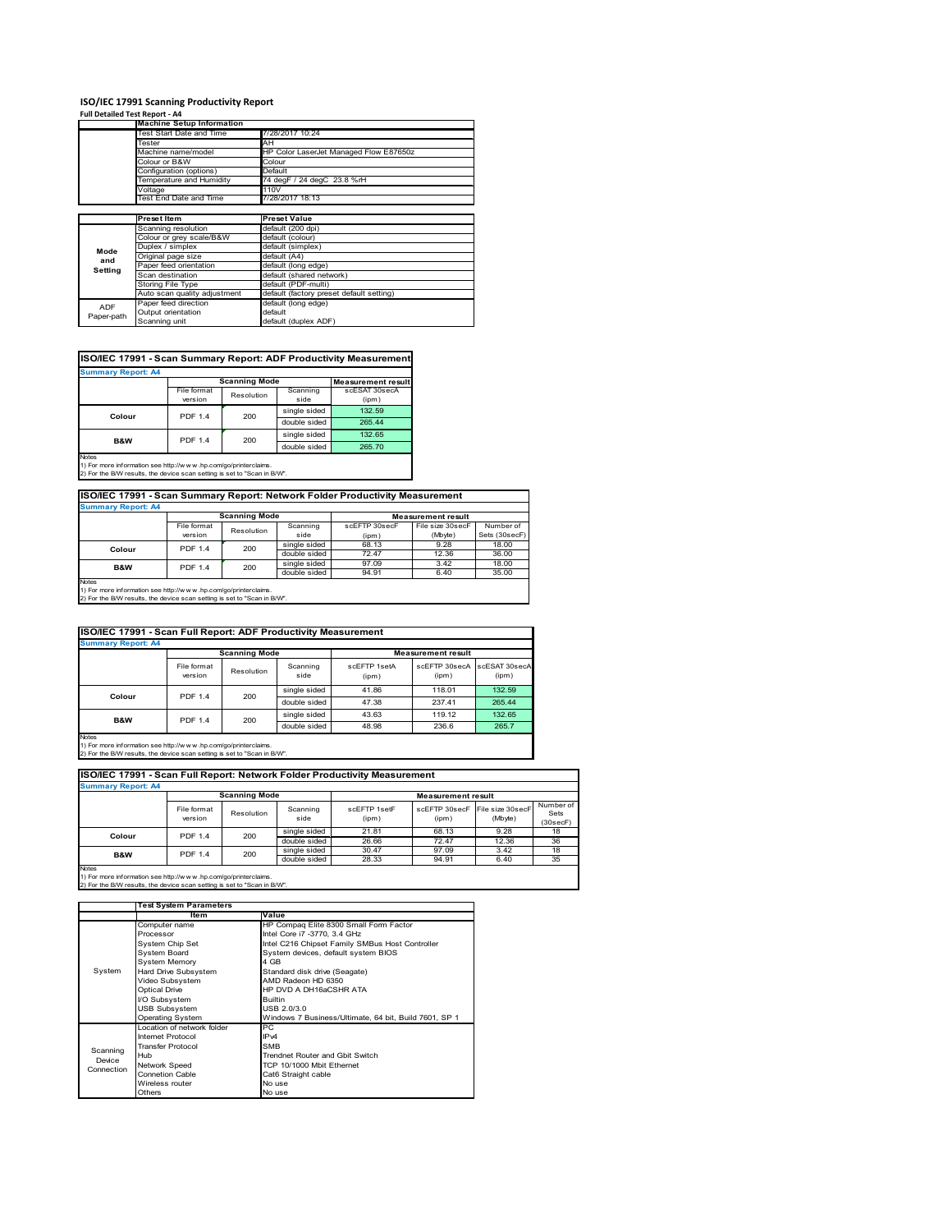#### **ISO/IEC 17991 Scanning Productivity Report Full Detailed Test Report ‐ A4**

| $1.911$ Decented Test Report - $7.7$ |                                  |                                          |  |  |  |  |
|--------------------------------------|----------------------------------|------------------------------------------|--|--|--|--|
|                                      | <b>Machine Setup Information</b> |                                          |  |  |  |  |
|                                      | <b>Test Start Date and Time</b>  | 7/28/2017 10:24                          |  |  |  |  |
|                                      | Tester                           | AH                                       |  |  |  |  |
|                                      | Machine name/model               | HP Color LaserJet Managed Flow E87650z   |  |  |  |  |
|                                      | Colour or B&W                    | Colour                                   |  |  |  |  |
|                                      | Configuration (options)          | Default                                  |  |  |  |  |
|                                      | Temperature and Humidity         | 74 degF / 24 degC 23.8 %rH               |  |  |  |  |
|                                      | Voltage                          | 110V                                     |  |  |  |  |
|                                      | Test End Date and Time           | 7/28/2017 18:13                          |  |  |  |  |
|                                      |                                  |                                          |  |  |  |  |
|                                      | <b>Preset Item</b>               | <b>Preset Value</b>                      |  |  |  |  |
|                                      | Scanning resolution              | default (200 dpi)                        |  |  |  |  |
|                                      | Colour or grey scale/B&W         | default (colour)                         |  |  |  |  |
| Mode                                 | Duplex / simplex                 | default (simplex)                        |  |  |  |  |
| and                                  | Original page size               | default (A4)                             |  |  |  |  |
| Setting                              | Paper feed orientation           | default (long edge)                      |  |  |  |  |
|                                      | Scan destination                 | default (shared network)                 |  |  |  |  |
|                                      | Storing File Type                | default (PDF-multi)                      |  |  |  |  |
|                                      | Auto scan quality adjustment     | default (factory preset default setting) |  |  |  |  |
| <b>ADF</b>                           | Paper feed direction             | default (long edge)                      |  |  |  |  |
|                                      | Output orientation               | default                                  |  |  |  |  |
| Paper-path                           | Scanning unit                    | default (duplex ADF)                     |  |  |  |  |

## **ISO/IEC 17991 - Scan Summary Report: ADF Productivity Measurement**

| <b>Summary Report: A4</b> |                |                      |                           |               |  |  |  |  |
|---------------------------|----------------|----------------------|---------------------------|---------------|--|--|--|--|
|                           |                | <b>Scanning Mode</b> | <b>Measurement result</b> |               |  |  |  |  |
|                           | File format    | Resolution           | Scanning                  | scESAT 30secA |  |  |  |  |
|                           | version        |                      | side                      | (ipm)         |  |  |  |  |
| Colour                    | <b>PDF 1.4</b> | 200                  | single sided              | 132.59        |  |  |  |  |
|                           |                |                      | double sided              | 265.44        |  |  |  |  |
| <b>B&amp;W</b>            | <b>PDF 1.4</b> | 200                  | single sided              | 132.65        |  |  |  |  |
|                           |                |                      | double sided              | 265.70        |  |  |  |  |
| <b>Notes</b>              |                |                      |                           |               |  |  |  |  |

1) For more information see http://w w w .hp.com/go/printerclaims. 2) For the B/W results, the device scan setting is set to "Scan in B/W".

# **ISO/IEC 17991 - Scan Summary Report: Network Folder Productivity Measurement Summary Report: A4**

| <b>JUILLIALY REDUIL AT</b> |                      |            |              |                           |                  |               |  |
|----------------------------|----------------------|------------|--------------|---------------------------|------------------|---------------|--|
|                            | <b>Scanning Mode</b> |            |              | <b>Measurement result</b> |                  |               |  |
|                            | File format          | Resolution | Scanning     | scEFTP 30secF             | File size 30secF | Number of     |  |
|                            | version              |            | side         | (ipm)                     | (Mbyte)          | Sets (30secF) |  |
| Colour                     | <b>PDF 1.4</b>       | 200        | single sided | 68.13                     | 9.28             | 18.00         |  |
|                            |                      |            | double sided | 72.47                     | 12.36            | 36.00         |  |
| B&W                        | <b>PDF 1.4</b>       | 200        | single sided | 97.09                     | 3.42             | 18.00         |  |
|                            |                      |            | double sided | 94.91                     | 6.40             | 35.00         |  |
| <b>Notes</b>               |                      |            |              |                           |                  |               |  |

Notes 1) For more information see http://w w w .hp.com/go/printerclaims. 2) For the B/W results, the device scan setting is set to "Scan in B/W".

| ISO/IEC 17991 - Scan Full Report: ADF Productivity Measurement |                        |                       |                  |                           |                        |                        |  |  |
|----------------------------------------------------------------|------------------------|-----------------------|------------------|---------------------------|------------------------|------------------------|--|--|
| <b>Summary Report: A4</b>                                      |                        |                       |                  |                           |                        |                        |  |  |
|                                                                | <b>Scanning Mode</b>   |                       |                  | <b>Measurement result</b> |                        |                        |  |  |
|                                                                | File format<br>version | Resolution            | Scanning<br>side | scFFTP 1setA<br>(ipm)     | scEFTP 30secA<br>(ipm) | scESAT 30secA<br>(ipm) |  |  |
| Colour                                                         |                        | <b>PDF 1.4</b><br>200 | single sided     | 41.86                     | 118.01                 | 132.59                 |  |  |
|                                                                |                        |                       | double sided     | 47.38                     | 237.41                 | 265.44                 |  |  |
| <b>B&amp;W</b>                                                 | <b>PDF 1.4</b>         | 200                   | single sided     | 43.63                     | 119.12                 | 132.65                 |  |  |
|                                                                |                        |                       | double sided     | 48.98                     | 236.6                  | 265.7                  |  |  |
| <b>Notes</b>                                                   |                        |                       |                  |                           |                        |                        |  |  |

Notes 1) For more information see http://w w w .hp.com/go/printerclaims. 2) For the B/W results, the device scan setting is set to "Scan in B/W".

| ISO/IEC 17991 - Scan Full Report: Network Folder Productivity Measurement |                        |                      |                  |                       |                           |                                           |                               |  |
|---------------------------------------------------------------------------|------------------------|----------------------|------------------|-----------------------|---------------------------|-------------------------------------------|-------------------------------|--|
| <b>Summary Report: A4</b>                                                 |                        |                      |                  |                       |                           |                                           |                               |  |
|                                                                           |                        | <b>Scanning Mode</b> |                  |                       | <b>Measurement result</b> |                                           |                               |  |
|                                                                           | File format<br>version | Resolution           | Scanning<br>side | scFFTP 1setF<br>(ipm) | (ipm)                     | scEFTP 30secF File size 30secF<br>(Mbyte) | Number of<br>Sets<br>(30secF) |  |
| Colour                                                                    | <b>PDF 1.4</b>         | 200                  | single sided     | 21.81                 | 68.13                     | 9.28                                      | 18                            |  |
|                                                                           |                        |                      | double sided     | 26.66                 | 72.47                     | 12.36                                     | 36                            |  |
| <b>B&amp;W</b>                                                            | <b>PDF 1.4</b>         | 200                  | single sided     | 30.47                 | 97.09                     | 3.42                                      | 18                            |  |
|                                                                           |                        |                      | double sided     | 28.33                 | 94.91                     | 6.40                                      | 35                            |  |
| <b>Notes</b>                                                              |                        |                      |                  |                       |                           |                                           |                               |  |

|            | <b>Test System Parameters</b> |                                                       |  |  |
|------------|-------------------------------|-------------------------------------------------------|--|--|
|            | Item                          | Value                                                 |  |  |
|            | Computer name                 | HP Compaq Elite 8300 Small Form Factor                |  |  |
|            | Processor                     | Intel Core i7 -3770, 3.4 GHz                          |  |  |
|            | System Chip Set               | Intel C216 Chipset Family SMBus Host Controller       |  |  |
|            | <b>System Board</b>           | System devices, default system BIOS                   |  |  |
|            | <b>System Memory</b>          | 4 GB                                                  |  |  |
| System     | Hard Drive Subsystem          | Standard disk drive (Seagate)                         |  |  |
|            | Video Subsystem               | AMD Radeon HD 6350                                    |  |  |
|            | <b>Optical Drive</b>          | HP DVD A DH16aCSHR ATA                                |  |  |
|            | I/O Subsystem                 | <b>Builtin</b>                                        |  |  |
|            | <b>USB Subsystem</b>          | USB 2.0/3.0                                           |  |  |
|            | Operating System              | Windows 7 Business/Ultimate, 64 bit, Build 7601, SP 1 |  |  |
|            | I ocation of network folder   | РC                                                    |  |  |
|            | Internet Protocol             | IP <sub>v4</sub>                                      |  |  |
| Scanning   | <b>Transfer Protocol</b>      | <b>SMB</b>                                            |  |  |
| Device     | Hub                           | Trendnet Router and Gbit Switch                       |  |  |
| Connection | Network Speed                 | TCP 10/1000 Mbit Ethernet                             |  |  |
|            | <b>Connetion Cable</b>        | Cat6 Straight cable                                   |  |  |
|            | Wireless router               | No use                                                |  |  |
|            | Others                        | No use                                                |  |  |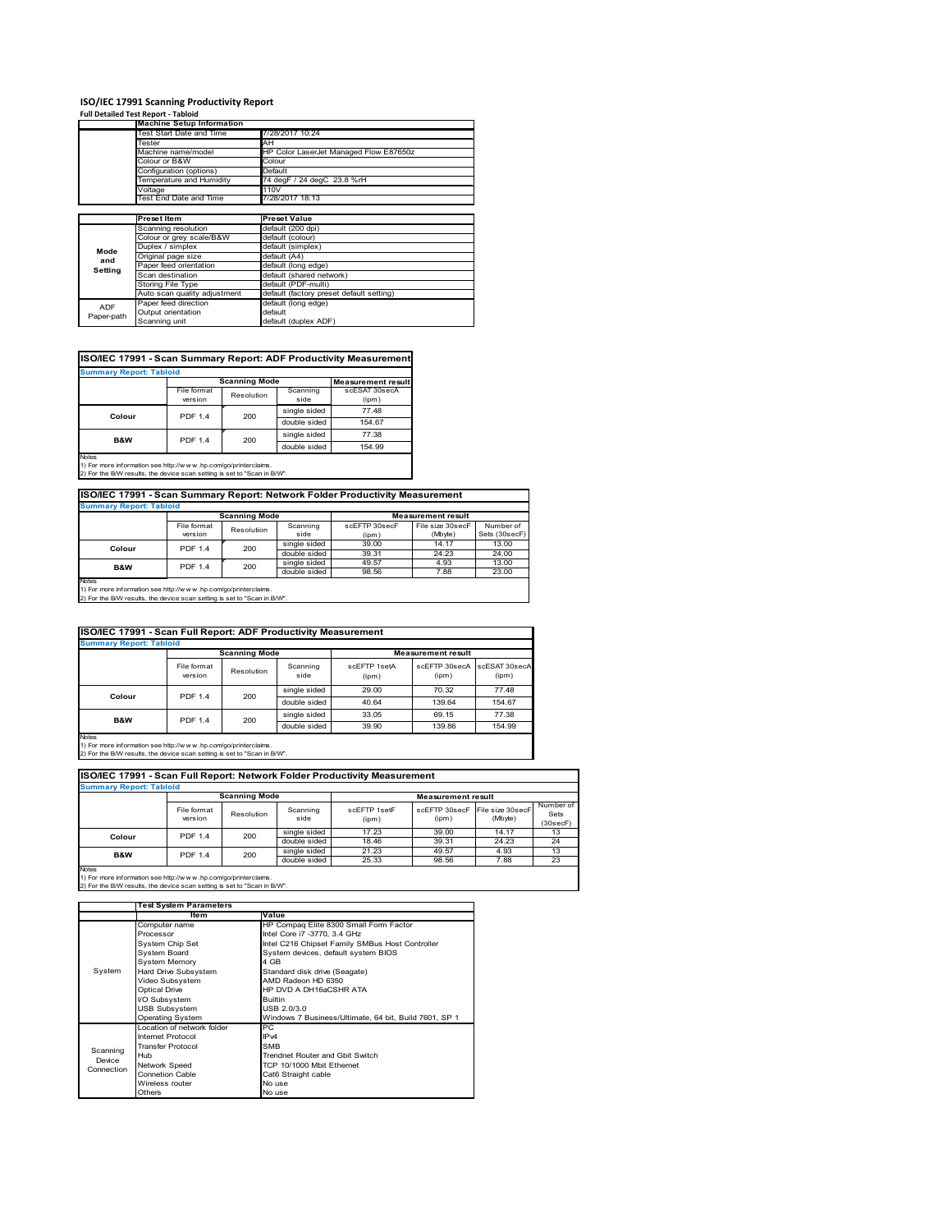## **ISO/IEC 17991 Scanning Productivity Report**

|            | <b>Full Detailed Test Report - Tabloid</b> |                                          |  |  |
|------------|--------------------------------------------|------------------------------------------|--|--|
|            | <b>Machine Setup Information</b>           |                                          |  |  |
|            | Test Start Date and Time                   | 7/28/2017 10:24                          |  |  |
|            | Tester                                     | AH                                       |  |  |
|            | Machine name/model                         | HP Color LaserJet Managed Flow E87650z   |  |  |
|            | Colour or B&W                              | Colour                                   |  |  |
|            | Configuration (options)                    | Default                                  |  |  |
|            | Temperature and Humidity                   | 74 deaF / 24 deaC 23.8 %rH               |  |  |
|            | Voltage                                    | 110V                                     |  |  |
|            | Test End Date and Time                     | 7/28/2017 18:13                          |  |  |
|            |                                            |                                          |  |  |
|            | <b>Preset Item</b>                         | <b>Preset Value</b>                      |  |  |
|            | Scanning resolution                        | default (200 dpi)                        |  |  |
|            | Colour or grey scale/B&W                   | default (colour)                         |  |  |
| Mode       | Duplex / simplex                           | default (simplex)                        |  |  |
| and        | Original page size                         | default (A4)                             |  |  |
| Setting    | Paper feed orientation                     | default (long edge)                      |  |  |
|            | Scan destination                           | default (shared network)                 |  |  |
|            | Storing File Type                          | default (PDF-multi)                      |  |  |
|            | Auto scan quality adjustment               | default (factory preset default setting) |  |  |
| <b>ADF</b> | Paper feed direction                       | default (long edge)                      |  |  |
| Paper-path | Output orientation                         | default                                  |  |  |
|            | Scanning unit                              | default (duplex ADF)                     |  |  |

## **ISO/IEC 17991 - Scan Summary Report: ADF Productivity Measurement**

| <b>Summary Report: Tabloid</b> |                        |                      |                  |                           |  |  |
|--------------------------------|------------------------|----------------------|------------------|---------------------------|--|--|
|                                |                        | <b>Scanning Mode</b> |                  | <b>Measurement result</b> |  |  |
|                                | File format<br>version | Resolution           | Scanning<br>side | scESAT 30secA<br>(ipm)    |  |  |
|                                | <b>PDF 1.4</b>         |                      | single sided     | 77.48                     |  |  |
| Colour                         |                        | 200                  | double sided     | 154.67                    |  |  |
| <b>B&amp;W</b>                 | <b>PDF 1.4</b>         | 200                  | single sided     | 77.38                     |  |  |
|                                |                        |                      | double sided     | 154.99                    |  |  |
| <b>Notes</b>                   |                        |                      |                  |                           |  |  |

Notes 1) For more information see http://w w w .hp.com/go/printerclaims. 2) For the B/W results, the device scan setting is set to "Scan in B/W".

## **ISO/IEC 17991 - Scan Summary Report: Network Folder Productivity Measurement**

| <b>Summary Report: Tabloid</b> |                      |            |              |                           |                  |               |  |
|--------------------------------|----------------------|------------|--------------|---------------------------|------------------|---------------|--|
|                                | <b>Scanning Mode</b> |            |              | <b>Measurement result</b> |                  |               |  |
|                                | File format          | Resolution | Scanning     | scEFTP 30secF             | File size 30secF | Number of     |  |
|                                | version              |            | side         | (ipm)                     | (Mbyte)          | Sets (30secF) |  |
| Colour                         | <b>PDF 1.4</b>       | 200        | single sided | 39.00                     | 14.17            | 13.00         |  |
|                                |                      |            | double sided | 39.31                     | 24.23            | 24.00         |  |
| <b>B&amp;W</b>                 | <b>PDF 1.4</b>       | 200        | single sided | 49.57                     | 4.93             | 13.00         |  |
|                                |                      |            | double sided | 98.56                     | 7.88             | 23.00         |  |
| Notes                          |                      |            |              |                           |                  |               |  |

Notes 1) For more information see http://w w w .hp.com/go/printerclaims. 2) For the B/W results, the device scan setting is set to "Scan in B/W".

| <b>ISO/IEC 17991 - Scan Full Report: ADF Productivity Measurement</b> |                                  |                      |                  |                       |                                      |        |  |  |
|-----------------------------------------------------------------------|----------------------------------|----------------------|------------------|-----------------------|--------------------------------------|--------|--|--|
| <b>Summary Report: Tabloid</b>                                        |                                  |                      |                  |                       |                                      |        |  |  |
|                                                                       |                                  | <b>Scanning Mode</b> |                  |                       | <b>Measurement result</b>            |        |  |  |
|                                                                       | File format<br>version           | Resolution           | Scanning<br>side | scFFTP 1setA<br>(ipm) | scEFTP 30secA scESAT 30secA<br>(ipm) | (ipm)  |  |  |
| Colour                                                                | <b>PDF 1.4</b>                   | 200                  | single sided     | 29.00                 | 70.32                                | 77.48  |  |  |
|                                                                       |                                  |                      | double sided     | 40.64                 | 139.64                               | 154.67 |  |  |
|                                                                       | <b>B&amp;W</b><br><b>PDF 1.4</b> | 200                  | single sided     | 33.05                 | 69.15                                | 77.38  |  |  |
|                                                                       |                                  |                      | double sided     | 39.90                 | 139.86                               | 154.99 |  |  |
| Notes                                                                 |                                  |                      |                  |                       |                                      |        |  |  |

Notes 1) For more information see http://w w w .hp.com/go/printerclaims. 2) For the B/W results, the device scan setting is set to "Scan in B/W".

| ISO/IEC 17991 - Scan Full Report: Network Folder Productivity Measurement |                        |                       |                  |                       |                                         |         |                               |  |  |
|---------------------------------------------------------------------------|------------------------|-----------------------|------------------|-----------------------|-----------------------------------------|---------|-------------------------------|--|--|
| <b>Summary Report: Tabloid</b>                                            |                        |                       |                  |                       |                                         |         |                               |  |  |
|                                                                           |                        | <b>Scanning Mode</b>  |                  |                       | <b>Measurement result</b>               |         |                               |  |  |
|                                                                           | File format<br>version | Resolution            | Scanning<br>side | scFFTP 1setF<br>(ipm) | scEFTP 30secF File size 30secF<br>(ipm) | (Mbyte) | Number of<br>Sets<br>(30secF) |  |  |
| Colour                                                                    |                        | 200<br><b>PDF 1.4</b> | single sided     | 17.23                 | 39.00                                   | 14.17   | 13                            |  |  |
|                                                                           |                        |                       | double sided     | 18.46                 | 39.31                                   | 24.23   | 24                            |  |  |
| <b>B&amp;W</b>                                                            | <b>PDF 1.4</b>         | 200                   | single sided     | 21.23                 | 49.57                                   | 4.93    | 13                            |  |  |
|                                                                           |                        |                       | double sided     | 25.33                 | 98.56                                   | 7.88    | 23                            |  |  |
| <b>Notes</b>                                                              |                        |                       |                  |                       |                                         |         |                               |  |  |

|            | <b>Test System Parameters</b> |                                                       |  |  |
|------------|-------------------------------|-------------------------------------------------------|--|--|
|            | <b>Item</b>                   | Value                                                 |  |  |
|            | Computer name                 | HP Compaq Elite 8300 Small Form Factor                |  |  |
|            | Processor                     | Intel Core i7 -3770, 3.4 GHz                          |  |  |
|            | System Chip Set               | Intel C216 Chipset Family SMBus Host Controller       |  |  |
|            | <b>System Board</b>           | System devices, default system BIOS                   |  |  |
|            | <b>System Memory</b>          | 4 GB                                                  |  |  |
| System     | Hard Drive Subsystem          | Standard disk drive (Seagate)                         |  |  |
|            | Video Subsystem               | AMD Radeon HD 6350                                    |  |  |
|            | Optical Drive                 | HP DVD A DH16aCSHR ATA                                |  |  |
|            | I/O Subsystem                 | <b>Builtin</b>                                        |  |  |
|            | <b>USB Subsystem</b>          | USB 2.0/3.0                                           |  |  |
|            | <b>Operating System</b>       | Windows 7 Business/Ultimate, 64 bit, Build 7601, SP 1 |  |  |
|            | Location of network folder    | РC                                                    |  |  |
|            | Internet Protocol             | IP <sub>v4</sub>                                      |  |  |
| Scanning   | <b>Transfer Protocol</b>      | <b>SMB</b>                                            |  |  |
| Device     | Hub                           | Trendnet Router and Gbit Switch                       |  |  |
| Connection | Network Speed                 | TCP 10/1000 Mbit Ethernet                             |  |  |
|            | <b>Connetion Cable</b>        | Cat6 Straight cable                                   |  |  |
|            | Wireless router               | No use                                                |  |  |
|            | Others                        | No use                                                |  |  |